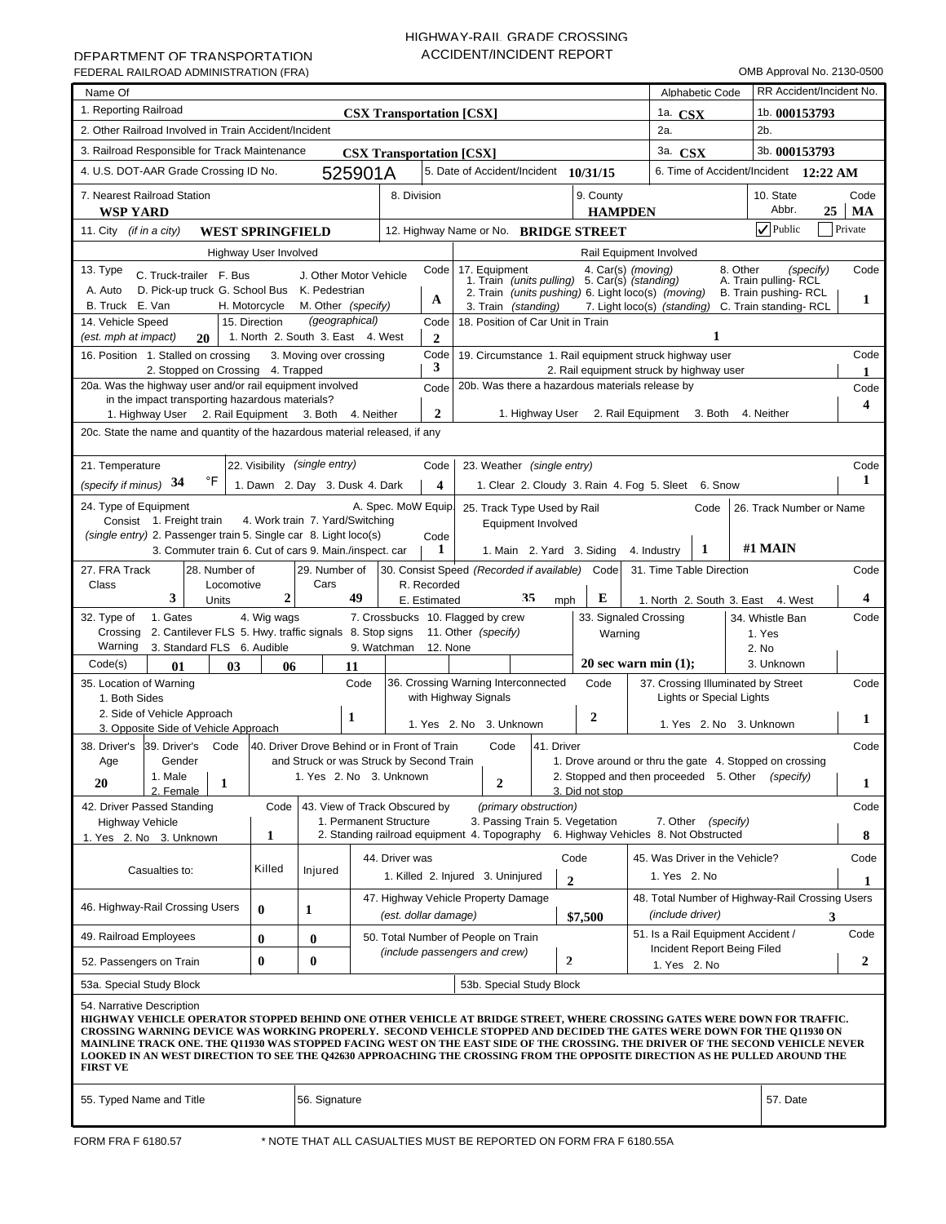# HIGHWAY-RAIL GRADE CROSSING ACCIDENT/INCIDENT REPORT

| Name Of                                                                                                                                                                                                                                                                          |                              |                        |                                                                     |              |                                                                                                                      |                                 |     |                                                                                                   |          | RR Accident/Incident No.                        |                  |
|----------------------------------------------------------------------------------------------------------------------------------------------------------------------------------------------------------------------------------------------------------------------------------|------------------------------|------------------------|---------------------------------------------------------------------|--------------|----------------------------------------------------------------------------------------------------------------------|---------------------------------|-----|---------------------------------------------------------------------------------------------------|----------|-------------------------------------------------|------------------|
| 1. Reporting Railroad                                                                                                                                                                                                                                                            |                              |                        |                                                                     |              |                                                                                                                      |                                 |     | Alphabetic Code                                                                                   |          |                                                 |                  |
| 2. Other Railroad Involved in Train Accident/Incident                                                                                                                                                                                                                            |                              |                        | <b>CSX Transportation [CSX]</b>                                     |              |                                                                                                                      |                                 | 2a. | 1a. $\mathbf{CSX}$                                                                                |          | 1b. 000153793<br>2b.                            |                  |
|                                                                                                                                                                                                                                                                                  |                              |                        |                                                                     |              |                                                                                                                      |                                 |     |                                                                                                   |          |                                                 |                  |
| 3. Railroad Responsible for Track Maintenance                                                                                                                                                                                                                                    |                              |                        | <b>CSX Transportation [CSX]</b>                                     |              |                                                                                                                      |                                 |     | 3a. CSX                                                                                           |          | 3b. 000153793                                   |                  |
| 4. U.S. DOT-AAR Grade Crossing ID No.                                                                                                                                                                                                                                            |                              |                        | 525901A                                                             |              | 5. Date of Accident/Incident 10/31/15                                                                                |                                 |     |                                                                                                   |          | 6. Time of Accident/Incident 12:22 AM           |                  |
| 7. Nearest Railroad Station<br><b>WSP YARD</b>                                                                                                                                                                                                                                   |                              |                        | 8. Division                                                         |              |                                                                                                                      | 9. County<br><b>HAMPDEN</b>     |     |                                                                                                   |          | 10. State<br>Abbr.<br>25                        | Code<br>MA       |
| 11. City <i>(if in a city)</i><br><b>WEST SPRINGFIELD</b>                                                                                                                                                                                                                        |                              |                        |                                                                     |              | 12. Highway Name or No. BRIDGE STREET                                                                                |                                 |     |                                                                                                   |          | $\nabla$ Public                                 | Private          |
|                                                                                                                                                                                                                                                                                  | <b>Highway User Involved</b> |                        |                                                                     |              |                                                                                                                      | Rail Equipment Involved         |     |                                                                                                   |          |                                                 |                  |
| 13. Type<br>C. Truck-trailer F. Bus                                                                                                                                                                                                                                              |                              | J. Other Motor Vehicle |                                                                     | Code         | 17. Equipment<br>7. Equipment 4. Car(s) (moving)<br>1. Train (units pulling) 5. Car(s) (standing)                    |                                 |     |                                                                                                   | 8. Other | (specify)                                       | Code             |
| D. Pick-up truck G. School Bus K. Pedestrian<br>A. Auto                                                                                                                                                                                                                          |                              |                        |                                                                     |              | 2. Train (units pushing) 6. Light loco(s) (moving)                                                                   |                                 |     |                                                                                                   |          | A. Train pulling-RCL<br>B. Train pushing-RCL    |                  |
| B. Truck E. Van                                                                                                                                                                                                                                                                  | H. Motorcycle                | M. Other (specify)     |                                                                     | A            | 3. Train (standing)                                                                                                  |                                 |     | 7. Light loco(s) (standing)                                                                       |          | C. Train standing-RCL                           | 1                |
| 14. Vehicle Speed                                                                                                                                                                                                                                                                | 15. Direction                | (geographical)         |                                                                     | Code         | 18. Position of Car Unit in Train                                                                                    |                                 |     |                                                                                                   |          |                                                 |                  |
| 1. North 2. South 3. East 4. West<br>1<br>(est. mph at impact)<br>$\overline{2}$<br>20<br>Code<br>Code                                                                                                                                                                           |                              |                        |                                                                     |              |                                                                                                                      |                                 |     |                                                                                                   |          |                                                 |                  |
| 16. Position 1. Stalled on crossing<br>3. Moving over crossing<br>19. Circumstance 1. Rail equipment struck highway user<br>3                                                                                                                                                    |                              |                        |                                                                     |              |                                                                                                                      |                                 |     |                                                                                                   |          |                                                 |                  |
| 2. Stopped on Crossing 4. Trapped<br>2. Rail equipment struck by highway user<br>20a. Was the highway user and/or rail equipment involved<br>20b. Was there a hazardous materials release by<br>Code                                                                             |                              |                        |                                                                     |              |                                                                                                                      |                                 |     |                                                                                                   |          |                                                 | Code             |
| in the impact transporting hazardous materials?                                                                                                                                                                                                                                  |                              |                        |                                                                     |              |                                                                                                                      |                                 |     |                                                                                                   |          |                                                 | 4                |
| $\overline{2}$<br>1. Highway User 2. Rail Equipment<br>3. Both 4. Neither<br>1. Highway User 2. Rail Equipment 3. Both<br>4. Neither                                                                                                                                             |                              |                        |                                                                     |              |                                                                                                                      |                                 |     |                                                                                                   |          |                                                 |                  |
| 20c. State the name and quantity of the hazardous material released, if any                                                                                                                                                                                                      |                              |                        |                                                                     |              |                                                                                                                      |                                 |     |                                                                                                   |          |                                                 |                  |
| 22. Visibility (single entry)<br>21. Temperature<br>Code<br>23. Weather (single entry)<br>Code                                                                                                                                                                                   |                              |                        |                                                                     |              |                                                                                                                      |                                 |     |                                                                                                   |          |                                                 |                  |
| °F<br>1<br>34<br>(specify if minus)<br>1. Dawn 2. Day 3. Dusk 4. Dark<br>$\overline{\mathbf{4}}$<br>1. Clear 2. Cloudy 3. Rain 4. Fog 5. Sleet 6. Snow                                                                                                                           |                              |                        |                                                                     |              |                                                                                                                      |                                 |     |                                                                                                   |          |                                                 |                  |
| 24. Type of Equipment<br>A. Spec. MoW Equip.                                                                                                                                                                                                                                     |                              |                        |                                                                     |              |                                                                                                                      |                                 |     |                                                                                                   |          |                                                 |                  |
| 25. Track Type Used by Rail<br>Code<br>26. Track Number or Name<br>Consist 1. Freight train<br>4. Work train 7. Yard/Switching<br>Equipment Involved                                                                                                                             |                              |                        |                                                                     |              |                                                                                                                      |                                 |     |                                                                                                   |          |                                                 |                  |
| (single entry) 2. Passenger train 5. Single car 8. Light loco(s)<br>Code<br>#1 MAIN<br>3. Commuter train 6. Cut of cars 9. Main./inspect. car<br>1<br>1<br>1. Main 2. Yard 3. Siding<br>4. Industry                                                                              |                              |                        |                                                                     |              |                                                                                                                      |                                 |     |                                                                                                   |          |                                                 |                  |
|                                                                                                                                                                                                                                                                                  |                              |                        |                                                                     |              |                                                                                                                      |                                 |     |                                                                                                   |          |                                                 |                  |
| 27. FRA Track<br>28. Number of<br>Class<br>Locomotive                                                                                                                                                                                                                            |                              | 29. Number of<br>Cars  |                                                                     | R. Recorded  | 30. Consist Speed (Recorded if available) Code                                                                       |                                 |     | 31. Time Table Direction                                                                          |          |                                                 | Code             |
| 3<br>Units                                                                                                                                                                                                                                                                       | $\mathbf{2}$                 |                        | 49                                                                  | E. Estimated | 35                                                                                                                   | Е<br>mph                        |     | 1. North 2. South 3. East 4. West                                                                 |          |                                                 | 4                |
| 1. Gates<br>32. Type of                                                                                                                                                                                                                                                          | 4. Wig wags                  |                        |                                                                     |              | 7. Crossbucks 10. Flagged by crew                                                                                    | 33. Signaled Crossing           |     |                                                                                                   |          | 34. Whistle Ban                                 | Code             |
| 2. Cantilever FLS 5. Hwy. traffic signals 8. Stop signs 11. Other (specify)<br>Crossing                                                                                                                                                                                          |                              |                        |                                                                     |              |                                                                                                                      | Warning                         |     |                                                                                                   |          | 1. Yes                                          |                  |
| Warning<br>3. Standard FLS 6. Audible                                                                                                                                                                                                                                            |                              |                        | 9. Watchman                                                         | 12. None     |                                                                                                                      |                                 |     |                                                                                                   | 2. No    | 3. Unknown                                      |                  |
| Code(s)<br>01<br>03<br>35. Location of Warning                                                                                                                                                                                                                                   | 06                           | 11                     | Code                                                                |              | 36. Crossing Warning Interconnected                                                                                  | 20 sec warn min $(1)$ ;<br>Code |     |                                                                                                   |          |                                                 | Code             |
| 1. Both Sides                                                                                                                                                                                                                                                                    |                              |                        |                                                                     |              | with Highway Signals                                                                                                 |                                 |     | 37. Crossing Illuminated by Street<br><b>Lights or Special Lights</b>                             |          |                                                 |                  |
| 2. Side of Vehicle Approach                                                                                                                                                                                                                                                      |                              | 1                      |                                                                     |              |                                                                                                                      | 2                               |     |                                                                                                   |          |                                                 | 1                |
| 3. Opposite Side of Vehicle Approach                                                                                                                                                                                                                                             |                              |                        |                                                                     |              | 1. Yes 2. No 3. Unknown                                                                                              |                                 |     | 1. Yes 2. No 3. Unknown                                                                           |          |                                                 |                  |
| 39. Driver's<br>38. Driver's<br>Code<br>Gender                                                                                                                                                                                                                                   |                              |                        | 40. Driver Drove Behind or in Front of Train                        |              | 41. Driver<br>Code                                                                                                   |                                 |     |                                                                                                   |          |                                                 | Code             |
| Age<br>1. Male                                                                                                                                                                                                                                                                   |                              |                        | and Struck or was Struck by Second Train<br>1. Yes 2. No 3. Unknown |              |                                                                                                                      |                                 |     | 1. Drove around or thru the gate 4. Stopped on crossing<br>2. Stopped and then proceeded 5. Other |          | (specify)                                       |                  |
| 20<br>1<br>2. Female                                                                                                                                                                                                                                                             |                              |                        |                                                                     |              | $\boldsymbol{2}$                                                                                                     | 3. Did not stop                 |     |                                                                                                   |          |                                                 | 1                |
| 42. Driver Passed Standing                                                                                                                                                                                                                                                       | Code                         |                        | 43. View of Track Obscured by                                       |              | (primary obstruction)                                                                                                |                                 |     |                                                                                                   |          |                                                 | Code             |
| <b>Highway Vehicle</b><br>1. Yes 2. No 3. Unknown                                                                                                                                                                                                                                | 1                            |                        | 1. Permanent Structure                                              |              | 3. Passing Train 5. Vegetation<br>2. Standing railroad equipment 4. Topography 6. Highway Vehicles 8. Not Obstructed |                                 |     | 7. Other (specify)                                                                                |          |                                                 | 8                |
|                                                                                                                                                                                                                                                                                  |                              |                        |                                                                     |              |                                                                                                                      |                                 |     |                                                                                                   |          |                                                 |                  |
| Casualties to:                                                                                                                                                                                                                                                                   | Killed                       | Injured                | 44. Driver was                                                      |              | 1. Killed 2. Injured 3. Uninjured                                                                                    | Code                            |     | 45. Was Driver in the Vehicle?<br>1. Yes 2. No                                                    |          |                                                 | Code             |
|                                                                                                                                                                                                                                                                                  |                              |                        |                                                                     |              |                                                                                                                      | $\overline{2}$                  |     |                                                                                                   |          |                                                 | 1                |
| 46. Highway-Rail Crossing Users                                                                                                                                                                                                                                                  | $\mathbf{0}$                 | 1                      |                                                                     |              | 47. Highway Vehicle Property Damage                                                                                  |                                 |     | (include driver)                                                                                  |          | 48. Total Number of Highway-Rail Crossing Users |                  |
|                                                                                                                                                                                                                                                                                  |                              |                        | (est. dollar damage)                                                |              |                                                                                                                      | \$7,500                         |     | 51. Is a Rail Equipment Accident /                                                                |          |                                                 | 3<br>Code        |
| 49. Railroad Employees                                                                                                                                                                                                                                                           | $\bf{0}$                     | $\bf{0}$               |                                                                     |              | 50. Total Number of People on Train                                                                                  |                                 |     | Incident Report Being Filed                                                                       |          |                                                 |                  |
| (include passengers and crew)<br>$\mathbf{2}$<br>$\bf{0}$<br>$\bf{0}$<br>52. Passengers on Train<br>1. Yes 2. No                                                                                                                                                                 |                              |                        |                                                                     |              |                                                                                                                      |                                 |     |                                                                                                   |          |                                                 | $\boldsymbol{2}$ |
| 53a. Special Study Block                                                                                                                                                                                                                                                         |                              |                        |                                                                     |              | 53b. Special Study Block                                                                                             |                                 |     |                                                                                                   |          |                                                 |                  |
| 54. Narrative Description<br>HIGHWAY VEHICLE OPERATOR STOPPED BEHIND ONE OTHER VEHICLE AT BRIDGE STREET, WHERE CROSSING GATES WERE DOWN FOR TRAFFIC.<br>CROSSING WARNING DEVICE WAS WORKING PROPERLY. SECOND VEHICLE STOPPED AND DECIDED THE GATES WERE DOWN FOR THE Q11930 ON   |                              |                        |                                                                     |              |                                                                                                                      |                                 |     |                                                                                                   |          |                                                 |                  |
| MAINLINE TRACK ONE. THE Q11930 WAS STOPPED FACING WEST ON THE EAST SIDE OF THE CROSSING. THE DRIVER OF THE SECOND VEHICLE NEVER<br>LOOKED IN AN WEST DIRECTION TO SEE THE Q42630 APPROACHING THE CROSSING FROM THE OPPOSITE DIRECTION AS HE PULLED AROUND THE<br><b>FIRST VE</b> |                              |                        |                                                                     |              |                                                                                                                      |                                 |     |                                                                                                   |          |                                                 |                  |
| 55. Typed Name and Title                                                                                                                                                                                                                                                         |                              | 56. Signature          |                                                                     |              |                                                                                                                      |                                 |     |                                                                                                   |          | 57. Date                                        |                  |
|                                                                                                                                                                                                                                                                                  |                              |                        |                                                                     |              |                                                                                                                      |                                 |     |                                                                                                   |          |                                                 |                  |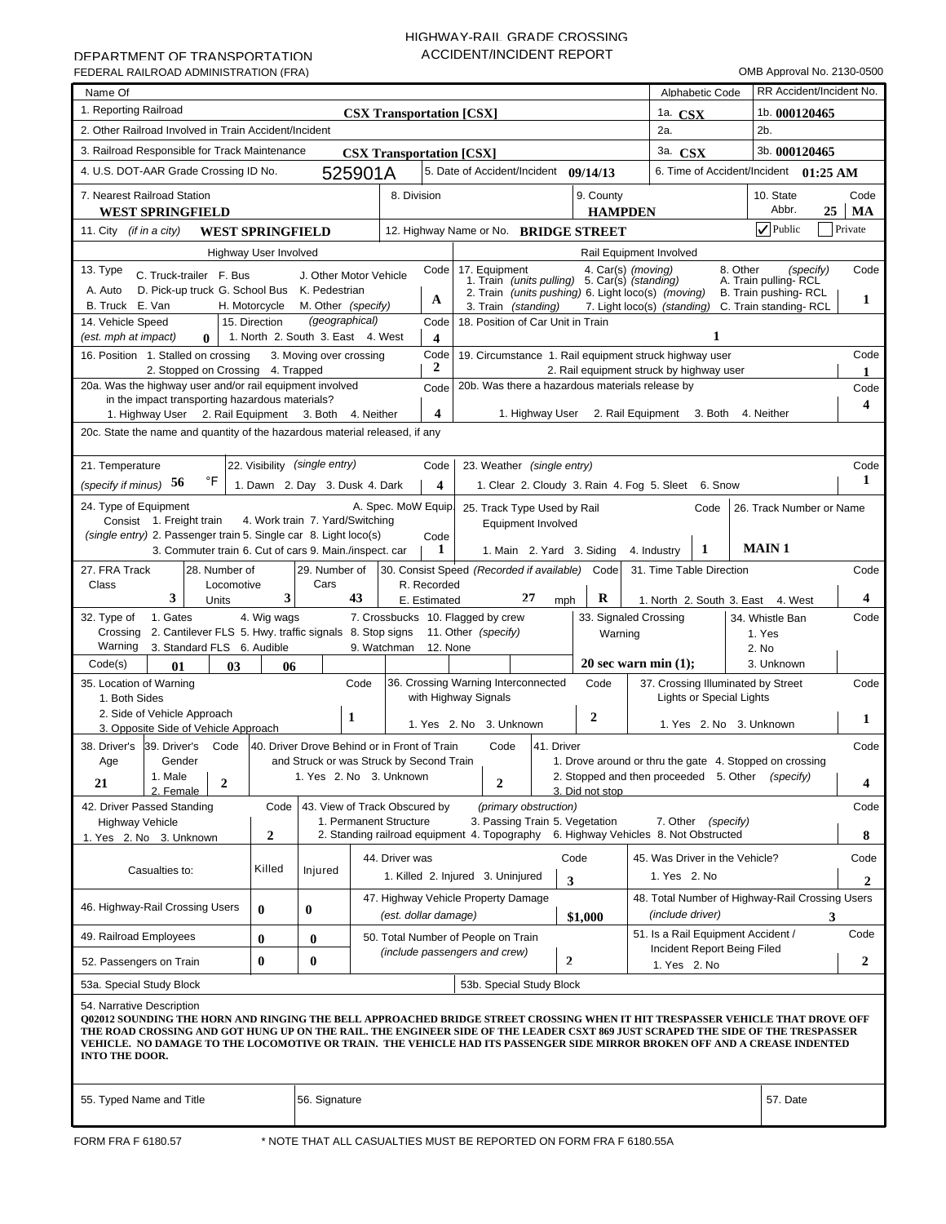# HIGHWAY-RAIL GRADE CROSSING ACCIDENT/INCIDENT REPORT

| Name Of                                                                                                                                                                                                                                                                                                                                                                                                                                                                         |                                                                     |                                 |                                                                                                                      |                             | Alphabetic Code                                                                                   | RR Accident/Incident No.                     |                         |  |  |  |  |  |
|---------------------------------------------------------------------------------------------------------------------------------------------------------------------------------------------------------------------------------------------------------------------------------------------------------------------------------------------------------------------------------------------------------------------------------------------------------------------------------|---------------------------------------------------------------------|---------------------------------|----------------------------------------------------------------------------------------------------------------------|-----------------------------|---------------------------------------------------------------------------------------------------|----------------------------------------------|-------------------------|--|--|--|--|--|
| 1. Reporting Railroad                                                                                                                                                                                                                                                                                                                                                                                                                                                           |                                                                     |                                 |                                                                                                                      |                             |                                                                                                   |                                              |                         |  |  |  |  |  |
| 2. Other Railroad Involved in Train Accident/Incident                                                                                                                                                                                                                                                                                                                                                                                                                           |                                                                     | <b>CSX Transportation [CSX]</b> |                                                                                                                      |                             | 1a. $\mathbf{CSX}$<br>2a.                                                                         | <sup>1b.</sup> 000120465<br>2b.              |                         |  |  |  |  |  |
|                                                                                                                                                                                                                                                                                                                                                                                                                                                                                 |                                                                     |                                 |                                                                                                                      |                             |                                                                                                   |                                              |                         |  |  |  |  |  |
| 3. Railroad Responsible for Track Maintenance                                                                                                                                                                                                                                                                                                                                                                                                                                   |                                                                     | <b>CSX Transportation [CSX]</b> |                                                                                                                      |                             | 3a. CSX                                                                                           | 3b. 000120465                                |                         |  |  |  |  |  |
| 4. U.S. DOT-AAR Grade Crossing ID No.                                                                                                                                                                                                                                                                                                                                                                                                                                           | 525901A                                                             |                                 | 5. Date of Accident/Incident 09/14/13                                                                                |                             |                                                                                                   | 6. Time of Accident/Incident 01:25 AM        |                         |  |  |  |  |  |
| 7. Nearest Railroad Station<br><b>WEST SPRINGFIELD</b>                                                                                                                                                                                                                                                                                                                                                                                                                          |                                                                     | 8. Division                     |                                                                                                                      | 9. County<br><b>HAMPDEN</b> |                                                                                                   | 10. State<br>Abbr.<br>25                     | Code<br>MA              |  |  |  |  |  |
| 11. City <i>(if in a city)</i><br><b>WEST SPRINGFIELD</b>                                                                                                                                                                                                                                                                                                                                                                                                                       |                                                                     |                                 | 12. Highway Name or No. BRIDGE STREET                                                                                |                             |                                                                                                   | $\sqrt{\frac{1}{2}}$ Public                  | Private                 |  |  |  |  |  |
| Highway User Involved                                                                                                                                                                                                                                                                                                                                                                                                                                                           |                                                                     |                                 |                                                                                                                      |                             | Rail Equipment Involved                                                                           |                                              |                         |  |  |  |  |  |
| 13. Type<br>C. Truck-trailer F. Bus                                                                                                                                                                                                                                                                                                                                                                                                                                             | J. Other Motor Vehicle                                              | Code                            | 17. Equipment<br>7. Equipment 4. Car(s) (moving)<br>1. Train (units pulling) 5. Car(s) (standing)                    |                             |                                                                                                   | 8. Other<br>(specify)                        | Code                    |  |  |  |  |  |
| A. Auto<br>D. Pick-up truck G. School Bus                                                                                                                                                                                                                                                                                                                                                                                                                                       | K. Pedestrian                                                       |                                 | 2. Train (units pushing) 6. Light loco(s) (moving)                                                                   |                             |                                                                                                   | A. Train pulling-RCL<br>B. Train pushing-RCL |                         |  |  |  |  |  |
| B. Truck E. Van<br>H. Motorcycle                                                                                                                                                                                                                                                                                                                                                                                                                                                | M. Other (specify)                                                  | A                               | 3. Train (standing)                                                                                                  |                             | 7. Light loco(s) (standing)                                                                       | C. Train standing-RCL                        | 1                       |  |  |  |  |  |
| 14. Vehicle Speed<br>15. Direction                                                                                                                                                                                                                                                                                                                                                                                                                                              | (geographical)                                                      | Code                            | 18. Position of Car Unit in Train                                                                                    |                             |                                                                                                   |                                              |                         |  |  |  |  |  |
| (est. mph at impact)<br>$\bf{0}$                                                                                                                                                                                                                                                                                                                                                                                                                                                | 1. North 2. South 3. East 4. West                                   | 4                               |                                                                                                                      |                             | 1                                                                                                 |                                              | Code                    |  |  |  |  |  |
| Code<br>16. Position 1. Stalled on crossing<br>3. Moving over crossing<br>19. Circumstance 1. Rail equipment struck highway user<br>2<br>2. Stopped on Crossing 4. Trapped<br>2. Rail equipment struck by highway user                                                                                                                                                                                                                                                          |                                                                     |                                 |                                                                                                                      |                             |                                                                                                   |                                              |                         |  |  |  |  |  |
| 20a. Was the highway user and/or rail equipment involved<br>20b. Was there a hazardous materials release by<br>Code                                                                                                                                                                                                                                                                                                                                                             |                                                                     |                                 |                                                                                                                      |                             |                                                                                                   |                                              |                         |  |  |  |  |  |
| in the impact transporting hazardous materials?                                                                                                                                                                                                                                                                                                                                                                                                                                 |                                                                     |                                 |                                                                                                                      |                             |                                                                                                   |                                              |                         |  |  |  |  |  |
| 4<br>1. Highway User 2. Rail Equipment<br>3. Both 4. Neither<br>1. Highway User 2. Rail Equipment 3. Both<br>4. Neither                                                                                                                                                                                                                                                                                                                                                         |                                                                     |                                 |                                                                                                                      |                             |                                                                                                   |                                              |                         |  |  |  |  |  |
| 20c. State the name and quantity of the hazardous material released, if any                                                                                                                                                                                                                                                                                                                                                                                                     |                                                                     |                                 |                                                                                                                      |                             |                                                                                                   |                                              |                         |  |  |  |  |  |
| 22. Visibility (single entry)<br>23. Weather (single entry)<br>Code                                                                                                                                                                                                                                                                                                                                                                                                             |                                                                     |                                 |                                                                                                                      |                             |                                                                                                   |                                              |                         |  |  |  |  |  |
| 21. Temperature<br>Code<br>°F<br>1<br>(specify if minus) $56$<br>1. Dawn 2. Day 3. Dusk 4. Dark<br>$\overline{\mathbf{4}}$<br>1. Clear 2. Cloudy 3. Rain 4. Fog 5. Sleet 6. Snow                                                                                                                                                                                                                                                                                                |                                                                     |                                 |                                                                                                                      |                             |                                                                                                   |                                              |                         |  |  |  |  |  |
|                                                                                                                                                                                                                                                                                                                                                                                                                                                                                 |                                                                     |                                 |                                                                                                                      |                             |                                                                                                   |                                              |                         |  |  |  |  |  |
| 24. Type of Equipment<br>A. Spec. MoW Equip.<br>25. Track Type Used by Rail<br>Code<br>26. Track Number or Name<br>Consist 1. Freight train<br>4. Work train 7. Yard/Switching                                                                                                                                                                                                                                                                                                  |                                                                     |                                 |                                                                                                                      |                             |                                                                                                   |                                              |                         |  |  |  |  |  |
| Equipment Involved<br>(single entry) 2. Passenger train 5. Single car 8. Light loco(s)<br>Code                                                                                                                                                                                                                                                                                                                                                                                  |                                                                     |                                 |                                                                                                                      |                             |                                                                                                   |                                              |                         |  |  |  |  |  |
| <b>MAIN1</b><br>1<br>3. Commuter train 6. Cut of cars 9. Main./inspect. car<br>1<br>1. Main 2. Yard 3. Siding<br>4. Industry                                                                                                                                                                                                                                                                                                                                                    |                                                                     |                                 |                                                                                                                      |                             |                                                                                                   |                                              |                         |  |  |  |  |  |
| 27. FRA Track<br>28. Number of                                                                                                                                                                                                                                                                                                                                                                                                                                                  | 29. Number of                                                       |                                 | 30. Consist Speed (Recorded if available) Code                                                                       |                             | 31. Time Table Direction                                                                          |                                              | Code                    |  |  |  |  |  |
| Cars<br>Class<br>Locomotive<br>R. Recorded<br>3<br>3<br>27<br>43<br>R<br>4<br>Units<br>E. Estimated<br>mph<br>1. North 2. South 3. East 4. West                                                                                                                                                                                                                                                                                                                                 |                                                                     |                                 |                                                                                                                      |                             |                                                                                                   |                                              |                         |  |  |  |  |  |
| 1. Gates<br>4. Wig wags<br>32. Type of                                                                                                                                                                                                                                                                                                                                                                                                                                          |                                                                     |                                 | 7. Crossbucks 10. Flagged by crew                                                                                    |                             | 33. Signaled Crossing                                                                             | 34. Whistle Ban                              | Code                    |  |  |  |  |  |
| 2. Cantilever FLS 5. Hwy. traffic signals 8. Stop signs 11. Other (specify)<br>Crossing                                                                                                                                                                                                                                                                                                                                                                                         |                                                                     |                                 |                                                                                                                      | Warning                     |                                                                                                   | 1. Yes                                       |                         |  |  |  |  |  |
| Warning<br>3. Standard FLS 6. Audible                                                                                                                                                                                                                                                                                                                                                                                                                                           |                                                                     | 9. Watchman<br>12. None         |                                                                                                                      |                             |                                                                                                   | 2. No                                        |                         |  |  |  |  |  |
| Code(s)<br>01<br>03                                                                                                                                                                                                                                                                                                                                                                                                                                                             | 06                                                                  |                                 |                                                                                                                      |                             | 20 sec warn min $(1)$ ;                                                                           | 3. Unknown                                   |                         |  |  |  |  |  |
| 35. Location of Warning<br>1. Both Sides                                                                                                                                                                                                                                                                                                                                                                                                                                        | Code                                                                |                                 | 36. Crossing Warning Interconnected<br>with Highway Signals                                                          | Code                        | 37. Crossing Illuminated by Street<br><b>Lights or Special Lights</b>                             |                                              | Code                    |  |  |  |  |  |
| 2. Side of Vehicle Approach                                                                                                                                                                                                                                                                                                                                                                                                                                                     | 1                                                                   |                                 |                                                                                                                      | 2                           |                                                                                                   |                                              |                         |  |  |  |  |  |
| 3. Opposite Side of Vehicle Approach                                                                                                                                                                                                                                                                                                                                                                                                                                            |                                                                     |                                 | 1. Yes 2. No 3. Unknown                                                                                              |                             | 1. Yes 2. No 3. Unknown                                                                           |                                              | 1                       |  |  |  |  |  |
| 39. Driver's<br>38. Driver's<br>Code                                                                                                                                                                                                                                                                                                                                                                                                                                            | 40. Driver Drove Behind or in Front of Train                        |                                 | Code<br>41. Driver                                                                                                   |                             |                                                                                                   |                                              | Code                    |  |  |  |  |  |
| Gender<br>Age<br>1. Male                                                                                                                                                                                                                                                                                                                                                                                                                                                        | and Struck or was Struck by Second Train<br>1. Yes 2. No 3. Unknown |                                 |                                                                                                                      |                             | 1. Drove around or thru the gate 4. Stopped on crossing<br>2. Stopped and then proceeded 5. Other | (specify)                                    |                         |  |  |  |  |  |
| $\overline{2}$<br>21<br>2. Female                                                                                                                                                                                                                                                                                                                                                                                                                                               |                                                                     |                                 | $\boldsymbol{2}$                                                                                                     | 3. Did not stop             |                                                                                                   |                                              | $\overline{\mathbf{4}}$ |  |  |  |  |  |
| 42. Driver Passed Standing<br>Code                                                                                                                                                                                                                                                                                                                                                                                                                                              | 43. View of Track Obscured by                                       |                                 | (primary obstruction)                                                                                                |                             |                                                                                                   |                                              | Code                    |  |  |  |  |  |
| <b>Highway Vehicle</b>                                                                                                                                                                                                                                                                                                                                                                                                                                                          | 1. Permanent Structure                                              |                                 | 3. Passing Train 5. Vegetation<br>2. Standing railroad equipment 4. Topography 6. Highway Vehicles 8. Not Obstructed |                             | 7. Other (specify)                                                                                |                                              |                         |  |  |  |  |  |
| $\boldsymbol{2}$<br>1. Yes 2. No 3. Unknown                                                                                                                                                                                                                                                                                                                                                                                                                                     |                                                                     |                                 |                                                                                                                      |                             |                                                                                                   |                                              | 8                       |  |  |  |  |  |
| Killed<br>Casualties to:                                                                                                                                                                                                                                                                                                                                                                                                                                                        | Injured                                                             | 44. Driver was                  |                                                                                                                      | Code                        | 45. Was Driver in the Vehicle?                                                                    |                                              | Code                    |  |  |  |  |  |
|                                                                                                                                                                                                                                                                                                                                                                                                                                                                                 |                                                                     |                                 | 1. Killed 2. Injured 3. Uninjured                                                                                    | 3                           | 1. Yes 2. No                                                                                      |                                              | $\mathbf{2}$            |  |  |  |  |  |
| 46. Highway-Rail Crossing Users<br>$\bf{0}$                                                                                                                                                                                                                                                                                                                                                                                                                                     | $\bf{0}$                                                            |                                 | 47. Highway Vehicle Property Damage                                                                                  |                             | 48. Total Number of Highway-Rail Crossing Users                                                   |                                              |                         |  |  |  |  |  |
|                                                                                                                                                                                                                                                                                                                                                                                                                                                                                 |                                                                     | (est. dollar damage)            |                                                                                                                      | \$1,000                     | (include driver)                                                                                  | 3                                            |                         |  |  |  |  |  |
| 49. Railroad Employees<br>$\bf{0}$                                                                                                                                                                                                                                                                                                                                                                                                                                              | $\bf{0}$                                                            |                                 | 50. Total Number of People on Train                                                                                  |                             | 51. Is a Rail Equipment Accident /<br>Incident Report Being Filed                                 |                                              | Code                    |  |  |  |  |  |
| $\bf{0}$<br>52. Passengers on Train                                                                                                                                                                                                                                                                                                                                                                                                                                             | $\bf{0}$                                                            |                                 | (include passengers and crew)                                                                                        | $\mathbf{2}$                | 1. Yes 2. No                                                                                      |                                              | $\boldsymbol{2}$        |  |  |  |  |  |
| 53a. Special Study Block                                                                                                                                                                                                                                                                                                                                                                                                                                                        |                                                                     |                                 |                                                                                                                      |                             |                                                                                                   |                                              |                         |  |  |  |  |  |
| 53b. Special Study Block<br>54. Narrative Description<br>Q02012 SOUNDING THE HORN AND RINGING THE BELL APPROACHED BRIDGE STREET CROSSING WHEN IT HIT TRESPASSER VEHICLE THAT DROVE OFF<br>THE ROAD CROSSING AND GOT HUNG UP ON THE RAIL. THE ENGINEER SIDE OF THE LEADER CSXT 869 JUST SCRAPED THE SIDE OF THE TRESPASSER<br>VEHICLE. NO DAMAGE TO THE LOCOMOTIVE OR TRAIN. THE VEHICLE HAD ITS PASSENGER SIDE MIRROR BROKEN OFF AND A CREASE INDENTED<br><b>INTO THE DOOR.</b> |                                                                     |                                 |                                                                                                                      |                             |                                                                                                   |                                              |                         |  |  |  |  |  |
| 55. Typed Name and Title                                                                                                                                                                                                                                                                                                                                                                                                                                                        | 56. Signature                                                       |                                 |                                                                                                                      |                             |                                                                                                   | 57. Date                                     |                         |  |  |  |  |  |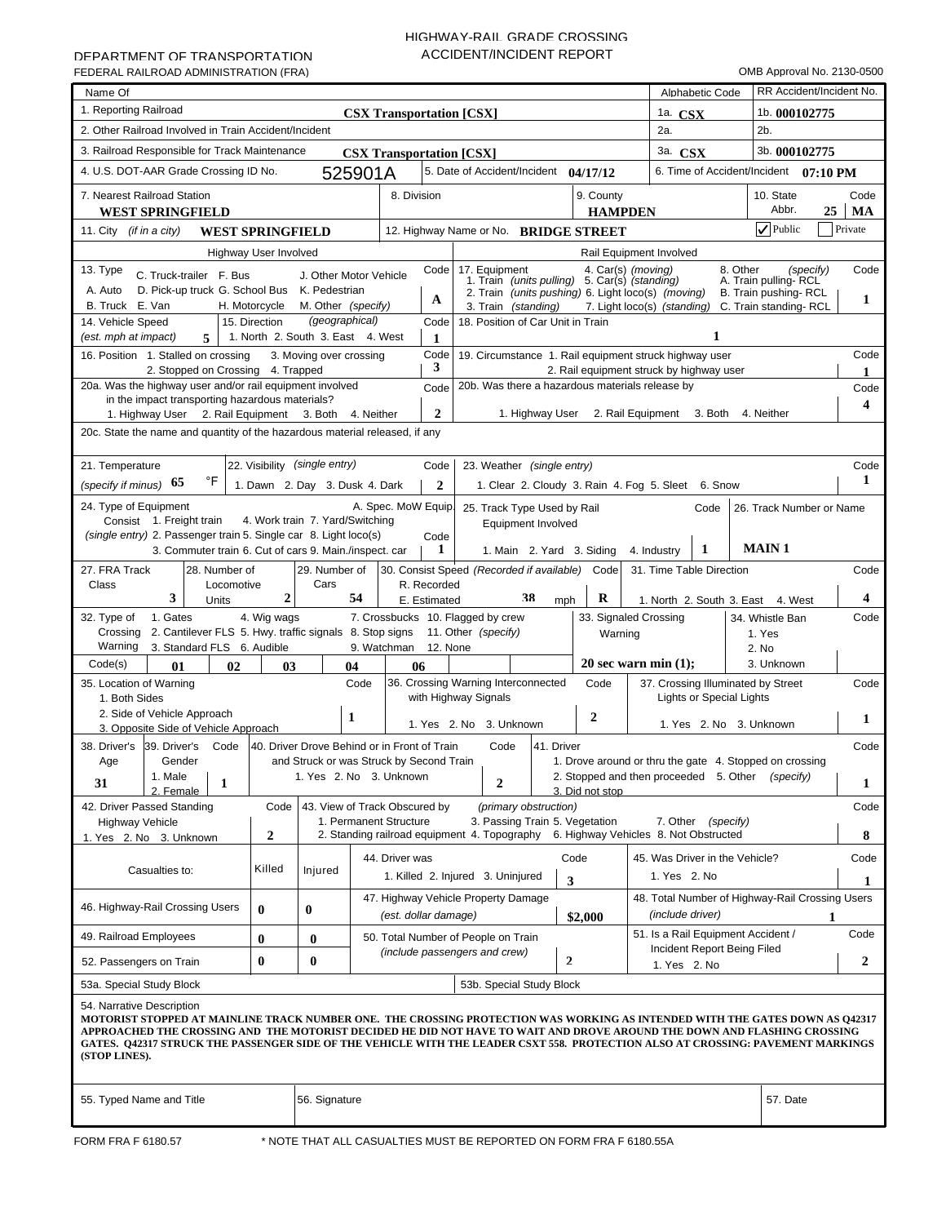# HIGHWAY-RAIL GRADE CROSSING ACCIDENT/INCIDENT REPORT

| Name Of                                                                                                                                                                                                                                                                                                                                                                                                                                   |                  |                                              |                                 |              |                                                                                                   |                         |                             |                                        | Alphabetic Code             | RR Accident/Incident No.                                |            |
|-------------------------------------------------------------------------------------------------------------------------------------------------------------------------------------------------------------------------------------------------------------------------------------------------------------------------------------------------------------------------------------------------------------------------------------------|------------------|----------------------------------------------|---------------------------------|--------------|---------------------------------------------------------------------------------------------------|-------------------------|-----------------------------|----------------------------------------|-----------------------------|---------------------------------------------------------|------------|
| 1. Reporting Railroad                                                                                                                                                                                                                                                                                                                                                                                                                     |                  |                                              | <b>CSX Transportation [CSX]</b> |              |                                                                                                   |                         |                             | 1a. $CSX$                              |                             | 1b. 000102775                                           |            |
| 2. Other Railroad Involved in Train Accident/Incident                                                                                                                                                                                                                                                                                                                                                                                     |                  |                                              |                                 |              |                                                                                                   |                         |                             | 2a.                                    |                             | $2b$ .                                                  |            |
| 3. Railroad Responsible for Track Maintenance                                                                                                                                                                                                                                                                                                                                                                                             |                  |                                              | <b>CSX Transportation [CSX]</b> |              |                                                                                                   |                         |                             | 3a. CSX                                |                             | 3b. 000102775                                           |            |
| 4. U.S. DOT-AAR Grade Crossing ID No.                                                                                                                                                                                                                                                                                                                                                                                                     |                  |                                              | 525901A                         |              | 5. Date of Accident/Incident 04/17/12                                                             |                         |                             |                                        |                             | 6. Time of Accident/Incident 07:10 PM                   |            |
| 7. Nearest Railroad Station<br><b>WEST SPRINGFIELD</b>                                                                                                                                                                                                                                                                                                                                                                                    |                  |                                              | 8. Division                     |              |                                                                                                   |                         | 9. County<br><b>HAMPDEN</b> |                                        |                             | 10. State<br>Abbr.<br>25                                | Code<br>MA |
| 11. City <i>(if in a city)</i><br><b>WEST SPRINGFIELD</b>                                                                                                                                                                                                                                                                                                                                                                                 |                  |                                              |                                 |              | 12. Highway Name or No. BRIDGE STREET                                                             |                         |                             |                                        |                             | $ $ $\checkmark$ Public                                 | Private    |
| Highway User Involved                                                                                                                                                                                                                                                                                                                                                                                                                     |                  |                                              |                                 |              |                                                                                                   |                         |                             | Rail Equipment Involved                |                             |                                                         |            |
| 13. Type<br>C. Truck-trailer F. Bus                                                                                                                                                                                                                                                                                                                                                                                                       |                  | J. Other Motor Vehicle                       |                                 | Code         | 17. Equipment<br>7. Equipment 4. Car(s) (moving)<br>1. Train (units pulling) 5. Car(s) (standing) |                         |                             |                                        | 8. Other                    | (specify)                                               | Code       |
| A. Auto<br>D. Pick-up truck G. School Bus                                                                                                                                                                                                                                                                                                                                                                                                 |                  | K. Pedestrian                                |                                 |              | 2. Train <i>(units pushing)</i> 6. Light loco(s) <i>(moving)</i>                                  |                         |                             |                                        |                             | A. Train pulling-RCL<br>B. Train pushing-RCL            |            |
| B. Truck E. Van<br>H. Motorcycle                                                                                                                                                                                                                                                                                                                                                                                                          |                  | M. Other (specify)                           |                                 | A            | 3. Train (standing)                                                                               |                         |                             | 7. Light loco(s) (standing)            |                             | C. Train standing-RCL                                   | 1          |
| 14. Vehicle Speed<br>15. Direction                                                                                                                                                                                                                                                                                                                                                                                                        |                  | (geographical)                               |                                 | Code         | 18. Position of Car Unit in Train                                                                 |                         |                             |                                        |                             |                                                         |            |
| 1. North 2. South 3. East 4. West<br>1<br>(est. mph at impact)<br>5<br>1                                                                                                                                                                                                                                                                                                                                                                  |                  |                                              |                                 |              |                                                                                                   |                         |                             |                                        |                             |                                                         |            |
| Code<br>16. Position 1. Stalled on crossing<br>3. Moving over crossing<br>19. Circumstance 1. Rail equipment struck highway user<br>3                                                                                                                                                                                                                                                                                                     |                  |                                              |                                 |              |                                                                                                   |                         |                             |                                        |                             |                                                         |            |
| 2. Stopped on Crossing 4. Trapped<br>2. Rail equipment struck by highway user<br>20a. Was the highway user and/or rail equipment involved<br>20b. Was there a hazardous materials release by<br>Code                                                                                                                                                                                                                                      |                  |                                              |                                 |              |                                                                                                   |                         |                             |                                        |                             |                                                         |            |
| in the impact transporting hazardous materials?                                                                                                                                                                                                                                                                                                                                                                                           |                  |                                              |                                 |              |                                                                                                   |                         |                             |                                        |                             |                                                         | Code<br>4  |
| $\mathbf{2}$<br>2. Rail Equipment 3. Both 4. Neither<br>1. Highway User<br>1. Highway User 2. Rail Equipment 3. Both<br>4. Neither                                                                                                                                                                                                                                                                                                        |                  |                                              |                                 |              |                                                                                                   |                         |                             |                                        |                             |                                                         |            |
| 20c. State the name and quantity of the hazardous material released, if any                                                                                                                                                                                                                                                                                                                                                               |                  |                                              |                                 |              |                                                                                                   |                         |                             |                                        |                             |                                                         |            |
| Code                                                                                                                                                                                                                                                                                                                                                                                                                                      |                  |                                              |                                 |              |                                                                                                   |                         |                             |                                        |                             |                                                         |            |
| 22. Visibility (single entry)<br>21. Temperature<br>Code<br>23. Weather (single entry)<br>°F<br>1<br>(specify if minus) $65$<br>1. Dawn 2. Day 3. Dusk 4. Dark<br>$\mathbf{2}$                                                                                                                                                                                                                                                            |                  |                                              |                                 |              |                                                                                                   |                         |                             |                                        |                             |                                                         |            |
| 1. Clear 2. Cloudy 3. Rain 4. Fog 5. Sleet 6. Snow<br>24. Type of Equipment<br>A. Spec. MoW Equip.                                                                                                                                                                                                                                                                                                                                        |                  |                                              |                                 |              |                                                                                                   |                         |                             |                                        |                             |                                                         |            |
| 26. Track Number or Name<br>25. Track Type Used by Rail<br>Code<br>Consist 1. Freight train<br>4. Work train 7. Yard/Switching<br>Equipment Involved                                                                                                                                                                                                                                                                                      |                  |                                              |                                 |              |                                                                                                   |                         |                             |                                        |                             |                                                         |            |
| (single entry) 2. Passenger train 5. Single car 8. Light loco(s)<br>Code<br><b>MAIN1</b><br>1<br>3. Commuter train 6. Cut of cars 9. Main./inspect. car<br>1<br>1. Main 2. Yard 3. Siding<br>4. Industry                                                                                                                                                                                                                                  |                  |                                              |                                 |              |                                                                                                   |                         |                             |                                        |                             |                                                         |            |
| 27. FRA Track                                                                                                                                                                                                                                                                                                                                                                                                                             |                  |                                              |                                 |              |                                                                                                   |                         |                             |                                        |                             |                                                         | Code       |
| 29. Number of<br>30. Consist Speed (Recorded if available) Code<br>31. Time Table Direction<br>28. Number of<br>Cars<br>R. Recorded<br>Class<br>Locomotive                                                                                                                                                                                                                                                                                |                  |                                              |                                 |              |                                                                                                   |                         |                             |                                        |                             |                                                         |            |
| 3<br>Units                                                                                                                                                                                                                                                                                                                                                                                                                                | $\overline{2}$   | 54                                           |                                 | E. Estimated | 38                                                                                                | mph                     | R                           |                                        |                             | 1. North 2. South 3. East 4. West                       | 4          |
| 1. Gates<br>32. Type of<br>2. Cantilever FLS 5. Hwy. traffic signals 8. Stop signs 11. Other (specify)<br>Crossing                                                                                                                                                                                                                                                                                                                        | 4. Wig wags      |                                              |                                 |              | 7. Crossbucks 10. Flagged by crew                                                                 |                         | Warning                     | 33. Signaled Crossing                  |                             | 34. Whistle Ban<br>1. Yes                               | Code       |
| Warning<br>3. Standard FLS 6. Audible                                                                                                                                                                                                                                                                                                                                                                                                     |                  |                                              | 9. Watchman                     | 12. None     |                                                                                                   |                         |                             |                                        |                             | 2. No                                                   |            |
| Code(s)<br>01<br>02                                                                                                                                                                                                                                                                                                                                                                                                                       | 03               | 04                                           | 06                              |              |                                                                                                   |                         |                             | 20 sec warn min $(1)$ ;                |                             | 3. Unknown                                              |            |
| 35. Location of Warning                                                                                                                                                                                                                                                                                                                                                                                                                   |                  |                                              | Code                            |              | 36. Crossing Warning Interconnected                                                               |                         | Code                        |                                        |                             | 37. Crossing Illuminated by Street                      | Code       |
| 1. Both Sides<br>2. Side of Vehicle Approach                                                                                                                                                                                                                                                                                                                                                                                              |                  |                                              |                                 |              | with Highway Signals                                                                              |                         |                             |                                        | Lights or Special Lights    |                                                         |            |
| 3. Opposite Side of Vehicle Approach                                                                                                                                                                                                                                                                                                                                                                                                      |                  | 1                                            |                                 |              | 1. Yes 2. No 3. Unknown                                                                           |                         | $\mathbf{2}$                |                                        |                             | 1. Yes 2. No 3. Unknown                                 | 1          |
| 39. Driver's<br>38. Driver's<br>Code                                                                                                                                                                                                                                                                                                                                                                                                      |                  | 40. Driver Drove Behind or in Front of Train |                                 |              | Code<br>41. Driver                                                                                |                         |                             |                                        |                             |                                                         | Code       |
| Gender<br>Age                                                                                                                                                                                                                                                                                                                                                                                                                             |                  | and Struck or was Struck by Second Train     |                                 |              |                                                                                                   |                         |                             |                                        |                             | 1. Drove around or thru the gate 4. Stopped on crossing |            |
| 1. Male<br>31<br>1                                                                                                                                                                                                                                                                                                                                                                                                                        |                  | 1. Yes 2. No 3. Unknown                      |                                 |              | $\overline{2}$                                                                                    |                         |                             | 2. Stopped and then proceeded 5. Other |                             | (specify)                                               | 1          |
| 2. Female<br>42. Driver Passed Standing                                                                                                                                                                                                                                                                                                                                                                                                   | Code             |                                              | 43. View of Track Obscured by   |              | (primary obstruction)                                                                             |                         | 3. Did not stop             |                                        |                             |                                                         | Code       |
| <b>Highway Vehicle</b>                                                                                                                                                                                                                                                                                                                                                                                                                    |                  |                                              | 1. Permanent Structure          |              | 3. Passing Train 5. Vegetation                                                                    |                         |                             |                                        | 7. Other (specify)          |                                                         |            |
| 1. Yes 2. No 3. Unknown                                                                                                                                                                                                                                                                                                                                                                                                                   | $\boldsymbol{2}$ |                                              |                                 |              | 2. Standing railroad equipment 4. Topography 6. Highway Vehicles 8. Not Obstructed                |                         |                             |                                        |                             |                                                         | 8          |
|                                                                                                                                                                                                                                                                                                                                                                                                                                           |                  |                                              | 44. Driver was                  |              |                                                                                                   | Code                    |                             | 45. Was Driver in the Vehicle?         |                             |                                                         | Code       |
| Casualties to:                                                                                                                                                                                                                                                                                                                                                                                                                            | Killed           | Injured                                      |                                 |              | 1. Killed 2. Injured 3. Uninjured                                                                 | $\overline{\mathbf{3}}$ |                             | 1. Yes 2. No                           |                             |                                                         | 1          |
| 46. Highway-Rail Crossing Users                                                                                                                                                                                                                                                                                                                                                                                                           | $\bf{0}$         | $\bf{0}$                                     | (est. dollar damage)            |              | 47. Highway Vehicle Property Damage                                                               |                         | \$2,000                     | (include driver)                       |                             | 48. Total Number of Highway-Rail Crossing Users<br>1    |            |
| 49. Railroad Employees                                                                                                                                                                                                                                                                                                                                                                                                                    | $\bf{0}$         | $\bf{0}$                                     |                                 |              | 50. Total Number of People on Train                                                               |                         |                             | 51. Is a Rail Equipment Accident /     |                             |                                                         | Code       |
| 52. Passengers on Train                                                                                                                                                                                                                                                                                                                                                                                                                   | $\bf{0}$         | $\bf{0}$                                     |                                 |              | (include passengers and crew)                                                                     | $\mathbf{2}$            |                             | 1. Yes 2. No                           | Incident Report Being Filed |                                                         | 2          |
| 53a. Special Study Block                                                                                                                                                                                                                                                                                                                                                                                                                  |                  |                                              |                                 |              | 53b. Special Study Block                                                                          |                         |                             |                                        |                             |                                                         |            |
| 54. Narrative Description<br>MOTORIST STOPPED AT MAINLINE TRACK NUMBER ONE. THE CROSSING PROTECTION WAS WORKING AS INTENDED WITH THE GATES DOWN AS Q42317<br>APPROACHED THE CROSSING AND THE MOTORIST DECIDED HE DID NOT HAVE TO WAIT AND DROVE AROUND THE DOWN AND FLASHING CROSSING<br>GATES. Q42317 STRUCK THE PASSENGER SIDE OF THE VEHICLE WITH THE LEADER CSXT 558. PROTECTION ALSO AT CROSSING: PAVEMENT MARKINGS<br>(STOP LINES). |                  |                                              |                                 |              |                                                                                                   |                         |                             |                                        |                             |                                                         |            |
| 55. Typed Name and Title                                                                                                                                                                                                                                                                                                                                                                                                                  |                  | 56. Signature                                |                                 |              |                                                                                                   |                         |                             |                                        |                             | 57. Date                                                |            |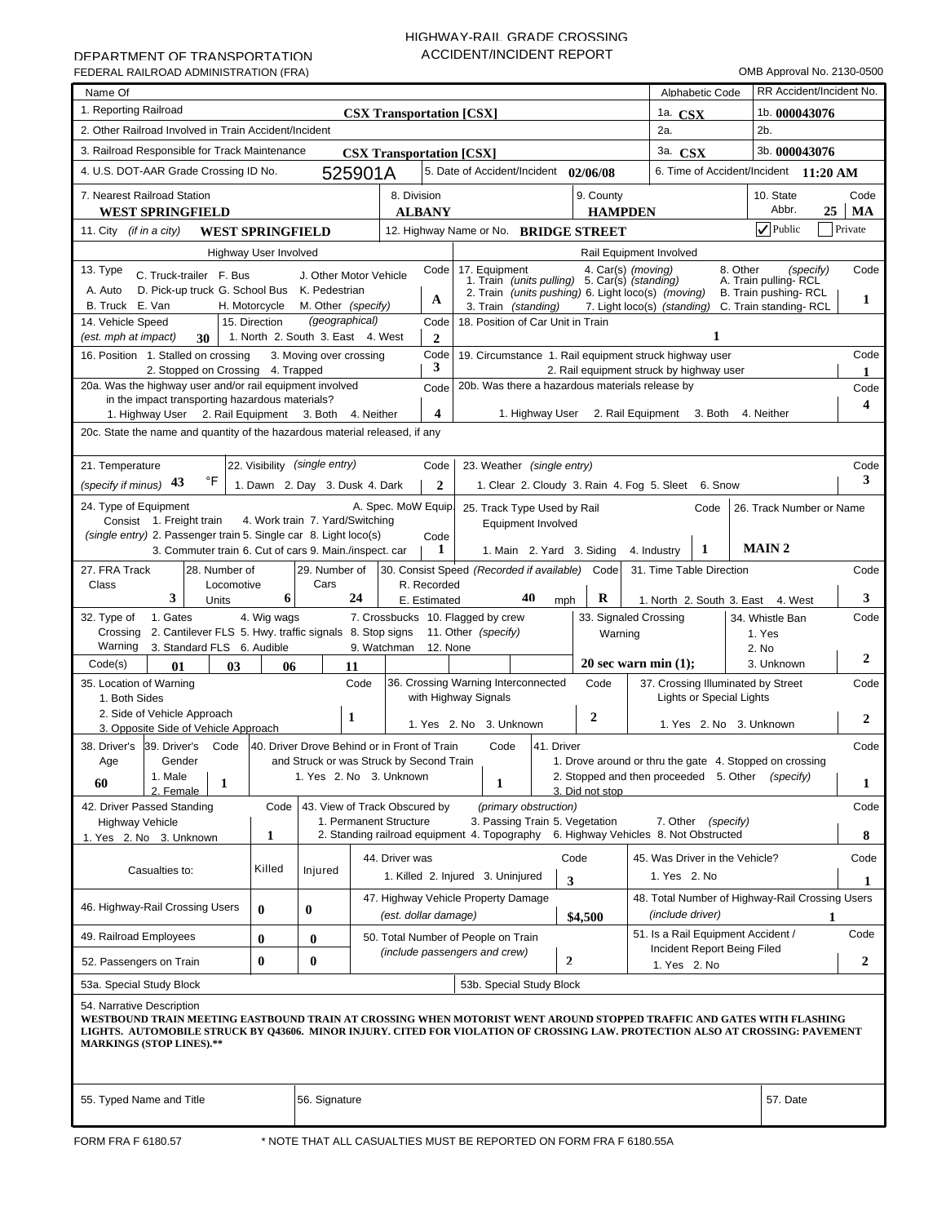# HIGHWAY-RAIL GRADE CROSSING ACCIDENT/INCIDENT REPORT

| Name Of                                                                                                                                                                                                                                                                                                                |                       |                                   |                                                                     |                      |                                                                                                                      |                                                                                                   |                |                                    | Alphabetic Code          |                                                                           | RR Accident/Incident No. |            |
|------------------------------------------------------------------------------------------------------------------------------------------------------------------------------------------------------------------------------------------------------------------------------------------------------------------------|-----------------------|-----------------------------------|---------------------------------------------------------------------|----------------------|----------------------------------------------------------------------------------------------------------------------|---------------------------------------------------------------------------------------------------|----------------|------------------------------------|--------------------------|---------------------------------------------------------------------------|--------------------------|------------|
| 1. Reporting Railroad                                                                                                                                                                                                                                                                                                  |                       |                                   | <b>CSX Transportation [CSX]</b>                                     |                      |                                                                                                                      |                                                                                                   |                | 1a. $CSX$                          |                          | 1b. 000043076                                                             |                          |            |
| 2. Other Railroad Involved in Train Accident/Incident                                                                                                                                                                                                                                                                  |                       |                                   |                                                                     |                      |                                                                                                                      |                                                                                                   |                | 2a.                                |                          | $2b$ .                                                                    |                          |            |
| 3. Railroad Responsible for Track Maintenance                                                                                                                                                                                                                                                                          |                       |                                   | <b>CSX Transportation [CSX]</b>                                     |                      |                                                                                                                      |                                                                                                   |                | 3a. CSX                            |                          | 3b. 000043076                                                             |                          |            |
| 4. U.S. DOT-AAR Grade Crossing ID No.                                                                                                                                                                                                                                                                                  |                       |                                   | 525901A                                                             |                      | 5. Date of Accident/Incident 02/06/08                                                                                |                                                                                                   |                |                                    |                          | 6. Time of Accident/Incident 11:20 AM                                     |                          |            |
| 7. Nearest Railroad Station<br><b>WEST SPRINGFIELD</b>                                                                                                                                                                                                                                                                 |                       |                                   | 8. Division                                                         | <b>ALBANY</b>        |                                                                                                                      | 9. County                                                                                         | <b>HAMPDEN</b> |                                    |                          | 10. State<br>Abbr.                                                        | 25                       | Code<br>MA |
| 11. City <i>(if in a city)</i><br><b>WEST SPRINGFIELD</b>                                                                                                                                                                                                                                                              |                       |                                   |                                                                     |                      | 12. Highway Name or No. BRIDGE STREET                                                                                |                                                                                                   |                |                                    |                          | $\sqrt{}$ Public                                                          | Private                  |            |
|                                                                                                                                                                                                                                                                                                                        | Highway User Involved |                                   |                                                                     |                      |                                                                                                                      |                                                                                                   |                | Rail Equipment Involved            |                          |                                                                           |                          |            |
| 13. Type<br>C. Truck-trailer F. Bus<br>A. Auto<br>D. Pick-up truck G. School Bus K. Pedestrian                                                                                                                                                                                                                         |                       |                                   | J. Other Motor Vehicle                                              | Code                 | 17. Equipment<br>7. Equipment 4. Car(s) (moving)<br>1. Train (units pulling) 5. Car(s) (standing)                    |                                                                                                   |                |                                    | 8. Other                 | A. Train pulling-RCL                                                      | (specify)                | Code       |
| B. Truck E. Van                                                                                                                                                                                                                                                                                                        | H. Motorcycle         | M. Other (specify)                |                                                                     | A                    | 2. Train (units pushing) 6. Light loco(s) (moving)<br>3. Train (standing)                                            |                                                                                                   |                |                                    |                          | B. Train pushing-RCL<br>7. Light loco(s) (standing) C. Train standing-RCL |                          | 1          |
| 14. Vehicle Speed                                                                                                                                                                                                                                                                                                      | 15. Direction         | (geographical)                    |                                                                     | Code                 | 18. Position of Car Unit in Train                                                                                    |                                                                                                   |                |                                    |                          |                                                                           |                          |            |
| (est. mph at impact)<br>30                                                                                                                                                                                                                                                                                             |                       | 1. North 2. South 3. East 4. West |                                                                     | $\mathbf{2}$         |                                                                                                                      |                                                                                                   |                |                                    | 1                        |                                                                           |                          |            |
| Code<br>16. Position 1. Stalled on crossing<br>19. Circumstance 1. Rail equipment struck highway user<br>3. Moving over crossing<br>3<br>2. Stopped on Crossing 4. Trapped<br>2. Rail equipment struck by highway user                                                                                                 |                       |                                   |                                                                     |                      |                                                                                                                      |                                                                                                   |                |                                    |                          |                                                                           |                          | Code<br>1  |
| 20a. Was the highway user and/or rail equipment involved<br>20b. Was there a hazardous materials release by<br>Code                                                                                                                                                                                                    |                       |                                   |                                                                     |                      |                                                                                                                      |                                                                                                   |                |                                    |                          |                                                                           |                          | Code       |
| in the impact transporting hazardous materials?                                                                                                                                                                                                                                                                        |                       |                                   |                                                                     |                      |                                                                                                                      |                                                                                                   |                |                                    |                          |                                                                           |                          | 4          |
| $\overline{\mathbf{4}}$<br>1. Highway User 2. Rail Equipment 3. Both 4. Neither<br>1. Highway User 2. Rail Equipment 3. Both<br>4. Neither<br>20c. State the name and quantity of the hazardous material released, if any                                                                                              |                       |                                   |                                                                     |                      |                                                                                                                      |                                                                                                   |                |                                    |                          |                                                                           |                          |            |
|                                                                                                                                                                                                                                                                                                                        |                       |                                   |                                                                     |                      |                                                                                                                      |                                                                                                   |                |                                    |                          |                                                                           |                          |            |
| 21. Temperature                                                                                                                                                                                                                                                                                                        |                       |                                   |                                                                     | Code                 |                                                                                                                      |                                                                                                   |                |                                    |                          |                                                                           |                          | Code       |
| 22. Visibility (single entry)<br>23. Weather (single entry)<br>°F<br>3<br>(specify if minus) 43<br>1. Dawn 2. Day 3. Dusk 4. Dark<br>$\mathbf{2}$<br>1. Clear 2. Cloudy 3. Rain 4. Fog 5. Sleet 6. Snow                                                                                                                |                       |                                   |                                                                     |                      |                                                                                                                      |                                                                                                   |                |                                    |                          |                                                                           |                          |            |
|                                                                                                                                                                                                                                                                                                                        |                       |                                   |                                                                     |                      |                                                                                                                      |                                                                                                   |                |                                    |                          |                                                                           |                          |            |
| 24. Type of Equipment<br>A. Spec. MoW Equip.<br>25. Track Type Used by Rail<br>Code<br>26. Track Number or Name<br>Consist 1. Freight train<br>4. Work train 7. Yard/Switching<br>Equipment Involved                                                                                                                   |                       |                                   |                                                                     |                      |                                                                                                                      |                                                                                                   |                |                                    |                          |                                                                           |                          |            |
| (single entry) 2. Passenger train 5. Single car 8. Light loco(s)<br>Code<br><b>MAIN2</b><br>1<br>3. Commuter train 6. Cut of cars 9. Main./inspect. car<br>1<br>1. Main 2. Yard 3. Siding<br>4. Industry                                                                                                               |                       |                                   |                                                                     |                      |                                                                                                                      |                                                                                                   |                |                                    |                          |                                                                           |                          |            |
| 27. FRA Track<br>28. Number of                                                                                                                                                                                                                                                                                         |                       | 29. Number of                     |                                                                     |                      | 30. Consist Speed (Recorded if available) Code                                                                       |                                                                                                   |                | 31. Time Table Direction           |                          |                                                                           |                          | Code       |
| Class<br>Locomotive                                                                                                                                                                                                                                                                                                    |                       | Cars                              |                                                                     | R. Recorded          |                                                                                                                      |                                                                                                   |                |                                    |                          |                                                                           |                          |            |
| 3<br>Units                                                                                                                                                                                                                                                                                                             | 6                     |                                   | 24                                                                  | E. Estimated         | 40                                                                                                                   | R<br>mph                                                                                          |                |                                    |                          | 1. North 2. South 3. East 4. West                                         |                          | 3          |
| 1. Gates<br>32. Type of<br>2. Cantilever FLS 5. Hwy. traffic signals 8. Stop signs 11. Other (specify)<br>Crossing<br>Warning<br>3. Standard FLS 6. Audible                                                                                                                                                            | 4. Wig wags           |                                   | 9. Watchman                                                         | 12. None             | 7. Crossbucks 10. Flagged by crew                                                                                    |                                                                                                   | Warning        | 33. Signaled Crossing              |                          | 34. Whistle Ban<br>1. Yes<br>2. No                                        |                          | Code       |
| Code(s)<br>01<br>03                                                                                                                                                                                                                                                                                                    | 06                    |                                   | 11                                                                  |                      |                                                                                                                      |                                                                                                   |                | 20 sec warn min $(1)$ ;            |                          | 3. Unknown                                                                |                          | 2          |
| 35. Location of Warning<br>1. Both Sides                                                                                                                                                                                                                                                                               |                       |                                   | Code                                                                |                      | 36. Crossing Warning Interconnected<br>with Highway Signals                                                          | Code                                                                                              |                |                                    | Lights or Special Lights | 37. Crossing Illuminated by Street                                        |                          | Code       |
| 2. Side of Vehicle Approach                                                                                                                                                                                                                                                                                            |                       | 1                                 |                                                                     |                      |                                                                                                                      | $\boldsymbol{2}$                                                                                  |                |                                    |                          |                                                                           |                          | 2          |
| 3. Opposite Side of Vehicle Approach                                                                                                                                                                                                                                                                                   |                       |                                   |                                                                     |                      | 1. Yes 2. No 3. Unknown                                                                                              |                                                                                                   |                |                                    |                          | 1. Yes 2. No 3. Unknown                                                   |                          |            |
| 38. Driver's<br>39. Driver's<br>Code<br>Gender                                                                                                                                                                                                                                                                         |                       |                                   | 40. Driver Drove Behind or in Front of Train                        |                      | Code                                                                                                                 | 41. Driver                                                                                        |                |                                    |                          |                                                                           |                          | Code       |
| Age<br>1. Male                                                                                                                                                                                                                                                                                                         |                       |                                   | and Struck or was Struck by Second Train<br>1. Yes 2. No 3. Unknown |                      |                                                                                                                      | 1. Drove around or thru the gate 4. Stopped on crossing<br>2. Stopped and then proceeded 5. Other |                |                                    |                          | (specify)                                                                 |                          |            |
| $\mathbf{1}$<br>60<br>2. Female                                                                                                                                                                                                                                                                                        |                       |                                   |                                                                     |                      | $\mathbf{1}$                                                                                                         | 3. Did not stop                                                                                   |                |                                    |                          |                                                                           |                          | 1          |
| 42. Driver Passed Standing                                                                                                                                                                                                                                                                                             | Code                  |                                   | 43. View of Track Obscured by                                       |                      | (primary obstruction)                                                                                                |                                                                                                   |                |                                    |                          |                                                                           |                          | Code       |
| <b>Highway Vehicle</b><br>1. Yes 2. No 3. Unknown                                                                                                                                                                                                                                                                      | 1                     |                                   | 1. Permanent Structure                                              |                      | 3. Passing Train 5. Vegetation<br>2. Standing railroad equipment 4. Topography 6. Highway Vehicles 8. Not Obstructed |                                                                                                   |                |                                    | 7. Other (specify)       |                                                                           |                          | 8          |
|                                                                                                                                                                                                                                                                                                                        |                       |                                   | 44. Driver was                                                      |                      |                                                                                                                      | Code                                                                                              |                | 45. Was Driver in the Vehicle?     |                          |                                                                           |                          | Code       |
| Casualties to:                                                                                                                                                                                                                                                                                                         | Killed                | Injured                           |                                                                     |                      | 1. Killed 2. Injured 3. Uninjured                                                                                    | 3                                                                                                 |                | 1. Yes 2. No                       |                          |                                                                           |                          | 1          |
|                                                                                                                                                                                                                                                                                                                        |                       |                                   |                                                                     |                      | 47. Highway Vehicle Property Damage                                                                                  |                                                                                                   |                |                                    |                          | 48. Total Number of Highway-Rail Crossing Users                           |                          |            |
| 46. Highway-Rail Crossing Users                                                                                                                                                                                                                                                                                        | $\bf{0}$              | $\bf{0}$                          |                                                                     | (est. dollar damage) |                                                                                                                      | \$4,500                                                                                           |                | (include driver)                   |                          |                                                                           | 1                        |            |
| 49. Railroad Employees                                                                                                                                                                                                                                                                                                 | $\bf{0}$              | $\bf{0}$                          |                                                                     |                      | 50. Total Number of People on Train                                                                                  |                                                                                                   |                | 51. Is a Rail Equipment Accident / |                          |                                                                           |                          | Code       |
| Incident Report Being Filed<br>(include passengers and crew)<br>$\mathbf{2}$<br>$\bf{0}$<br>$\bf{0}$<br>52. Passengers on Train<br>1. Yes 2. No                                                                                                                                                                        |                       |                                   |                                                                     |                      |                                                                                                                      |                                                                                                   |                |                                    |                          |                                                                           | 2                        |            |
| 53a. Special Study Block                                                                                                                                                                                                                                                                                               |                       |                                   |                                                                     |                      | 53b. Special Study Block                                                                                             |                                                                                                   |                |                                    |                          |                                                                           |                          |            |
|                                                                                                                                                                                                                                                                                                                        |                       |                                   |                                                                     |                      |                                                                                                                      |                                                                                                   |                |                                    |                          |                                                                           |                          |            |
| 54. Narrative Description<br>WESTBOUND TRAIN MEETING EASTBOUND TRAIN AT CROSSING WHEN MOTORIST WENT AROUND STOPPED TRAFFIC AND GATES WITH FLASHING<br>LIGHTS. AUTOMOBILE STRUCK BY Q43606. MINOR INJURY. CITED FOR VIOLATION OF CROSSING LAW. PROTECTION ALSO AT CROSSING: PAVEMENT<br><b>MARKINGS (STOP LINES).**</b> |                       |                                   |                                                                     |                      |                                                                                                                      |                                                                                                   |                |                                    |                          |                                                                           |                          |            |
| 55. Typed Name and Title                                                                                                                                                                                                                                                                                               |                       | 56. Signature                     |                                                                     |                      |                                                                                                                      |                                                                                                   |                |                                    |                          | 57. Date                                                                  |                          |            |
|                                                                                                                                                                                                                                                                                                                        |                       |                                   |                                                                     |                      |                                                                                                                      |                                                                                                   |                |                                    |                          |                                                                           |                          |            |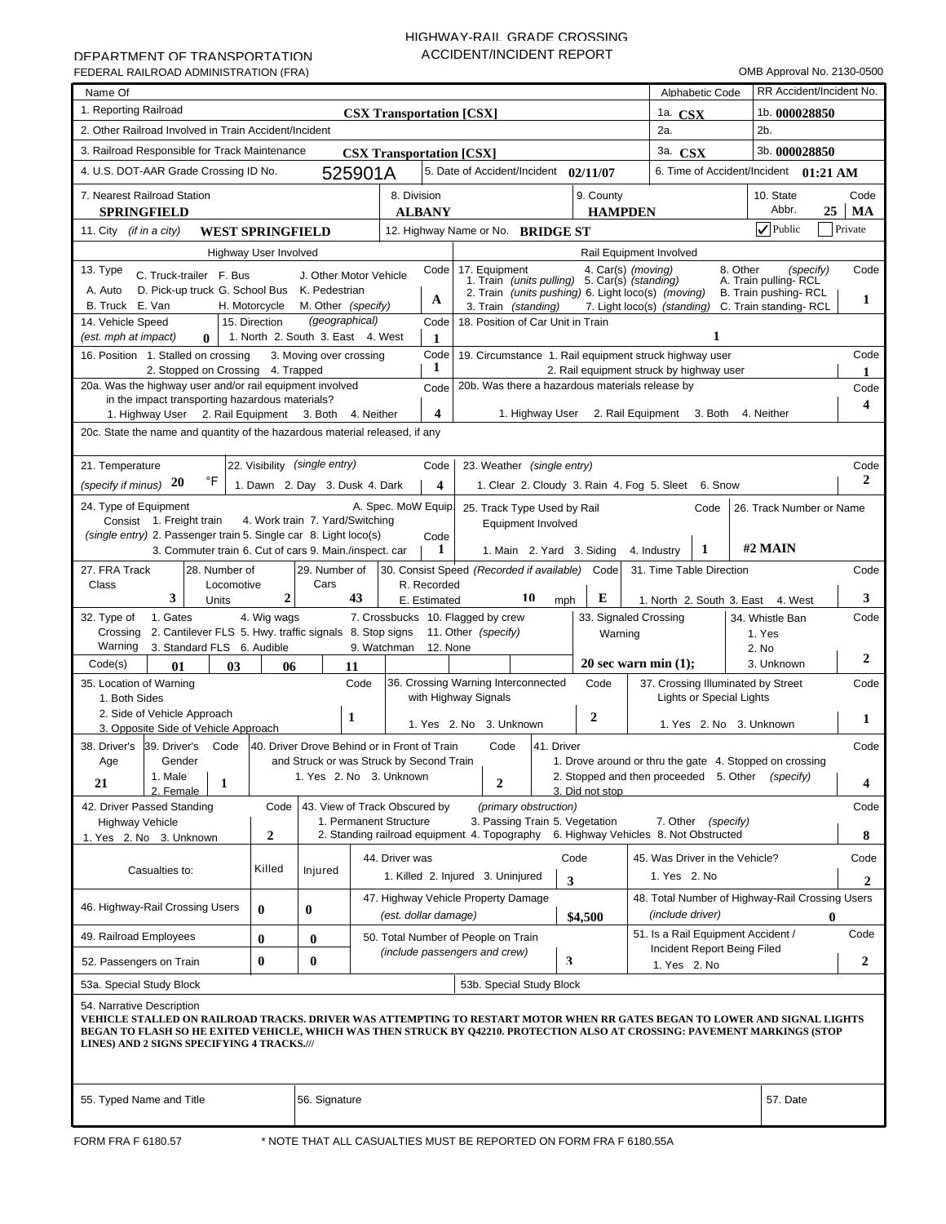# HIGHWAY-RAIL GRADE CROSSING ACCIDENT/INCIDENT REPORT

| Name Of                                                                                                                                                                                                                                                                                                                            |                       |                                                     |                                                                     |                              |                                                                                                                                                         |            |                             |                                        | Alphabetic Code                                                   | RR Accident/Incident No.                                             |                  |
|------------------------------------------------------------------------------------------------------------------------------------------------------------------------------------------------------------------------------------------------------------------------------------------------------------------------------------|-----------------------|-----------------------------------------------------|---------------------------------------------------------------------|------------------------------|---------------------------------------------------------------------------------------------------------------------------------------------------------|------------|-----------------------------|----------------------------------------|-------------------------------------------------------------------|----------------------------------------------------------------------|------------------|
| 1. Reporting Railroad                                                                                                                                                                                                                                                                                                              |                       |                                                     | <b>CSX Transportation [CSX]</b>                                     |                              |                                                                                                                                                         |            |                             | 1a. $CSX$                              |                                                                   | 1b. 000028850                                                        |                  |
| 2. Other Railroad Involved in Train Accident/Incident                                                                                                                                                                                                                                                                              |                       |                                                     |                                                                     |                              |                                                                                                                                                         |            |                             | 2a.                                    |                                                                   | $2b$ .                                                               |                  |
| 3. Railroad Responsible for Track Maintenance                                                                                                                                                                                                                                                                                      |                       |                                                     | <b>CSX Transportation [CSX]</b>                                     |                              |                                                                                                                                                         |            |                             | 3a. CSX                                |                                                                   | 3b. 000028850                                                        |                  |
| 4. U.S. DOT-AAR Grade Crossing ID No.                                                                                                                                                                                                                                                                                              |                       |                                                     | 525901A                                                             |                              | 5. Date of Accident/Incident 02/11/07                                                                                                                   |            |                             |                                        |                                                                   | 6. Time of Accident/Incident 01:21 AM                                |                  |
| 7. Nearest Railroad Station<br><b>SPRINGFIELD</b>                                                                                                                                                                                                                                                                                  |                       |                                                     |                                                                     | 8. Division<br><b>ALBANY</b> |                                                                                                                                                         |            | 9. County<br><b>HAMPDEN</b> |                                        |                                                                   | 10. State<br>Abbr.                                                   | Code<br>25<br>MA |
| 11. City <i>(if in a city)</i><br><b>WEST SPRINGFIELD</b>                                                                                                                                                                                                                                                                          |                       |                                                     |                                                                     |                              | 12. Highway Name or No. BRIDGE ST                                                                                                                       |            |                             |                                        |                                                                   | $\sqrt{}$ Public                                                     | Private          |
|                                                                                                                                                                                                                                                                                                                                    | Highway User Involved |                                                     |                                                                     |                              |                                                                                                                                                         |            |                             | Rail Equipment Involved                |                                                                   |                                                                      |                  |
| 13. Type<br>C. Truck-trailer F. Bus<br>A. Auto<br>D. Pick-up truck G. School Bus K. Pedestrian                                                                                                                                                                                                                                     |                       |                                                     | J. Other Motor Vehicle                                              | Code                         | 17. Equipment<br>7. Equipment 4. Car(s) (moving)<br>1. Train (units pulling) 5. Car(s) (standing)<br>2. Train (units pushing) 6. Light loco(s) (moving) |            |                             |                                        | 8. Other                                                          | (specify)<br>A. Train pulling-RCL<br>B. Train pushing-RCL            | Code             |
| B. Truck E. Van                                                                                                                                                                                                                                                                                                                    | H. Motorcycle         | M. Other (specify)                                  |                                                                     | A                            | 3. Train (standing)                                                                                                                                     |            |                             |                                        |                                                                   | 7. Light loco(s) (standing) C. Train standing-RCL                    | 1                |
| 14. Vehicle Speed<br>(est. mph at impact)<br>$\bf{0}$                                                                                                                                                                                                                                                                              | 15. Direction         | (geographical)<br>1. North 2. South 3. East 4. West |                                                                     | Code<br>1                    | 18. Position of Car Unit in Train                                                                                                                       |            |                             |                                        | 1                                                                 |                                                                      |                  |
| Code<br>Code<br>16. Position 1. Stalled on crossing<br>19. Circumstance 1. Rail equipment struck highway user<br>3. Moving over crossing<br>1                                                                                                                                                                                      |                       |                                                     |                                                                     |                              |                                                                                                                                                         |            |                             |                                        |                                                                   |                                                                      |                  |
| 2. Stopped on Crossing 4. Trapped<br>2. Rail equipment struck by highway user<br>20a. Was the highway user and/or rail equipment involved<br>20b. Was there a hazardous materials release by                                                                                                                                       |                       |                                                     |                                                                     |                              |                                                                                                                                                         |            |                             |                                        |                                                                   |                                                                      |                  |
| Code<br>in the impact transporting hazardous materials?                                                                                                                                                                                                                                                                            |                       |                                                     |                                                                     |                              |                                                                                                                                                         |            |                             |                                        |                                                                   |                                                                      |                  |
| $\overline{\mathbf{4}}$<br>1. Highway User 2. Rail Equipment 3. Both 4. Neither<br>1. Highway User 2. Rail Equipment 3. Both<br>4. Neither                                                                                                                                                                                         |                       |                                                     |                                                                     |                              |                                                                                                                                                         |            |                             |                                        |                                                                   |                                                                      | 4                |
| 20c. State the name and quantity of the hazardous material released, if any                                                                                                                                                                                                                                                        |                       |                                                     |                                                                     |                              |                                                                                                                                                         |            |                             |                                        |                                                                   |                                                                      |                  |
|                                                                                                                                                                                                                                                                                                                                    |                       |                                                     |                                                                     |                              |                                                                                                                                                         |            |                             |                                        |                                                                   |                                                                      |                  |
| 22. Visibility (single entry)<br>Code<br>21. Temperature<br>Code<br>23. Weather (single entry)<br>°F<br>2<br>(specify if minus) $20$                                                                                                                                                                                               |                       |                                                     |                                                                     |                              |                                                                                                                                                         |            |                             |                                        |                                                                   |                                                                      |                  |
| 1. Dawn 2. Day 3. Dusk 4. Dark<br>4<br>1. Clear 2. Cloudy 3. Rain 4. Fog 5. Sleet 6. Snow<br>24. Type of Equipment<br>A. Spec. MoW Equip.                                                                                                                                                                                          |                       |                                                     |                                                                     |                              |                                                                                                                                                         |            |                             |                                        |                                                                   |                                                                      |                  |
| 25. Track Type Used by Rail<br>Code<br>26. Track Number or Name<br>Consist 1. Freight train<br>4. Work train 7. Yard/Switching<br>Equipment Involved                                                                                                                                                                               |                       |                                                     |                                                                     |                              |                                                                                                                                                         |            |                             |                                        |                                                                   |                                                                      |                  |
| (single entry) 2. Passenger train 5. Single car 8. Light loco(s)<br>Code<br>#2 MAIN<br>1<br>3. Commuter train 6. Cut of cars 9. Main./inspect. car<br>1<br>1. Main 2. Yard 3. Siding<br>4. Industry                                                                                                                                |                       |                                                     |                                                                     |                              |                                                                                                                                                         |            |                             |                                        |                                                                   |                                                                      |                  |
| 27. FRA Track<br>28. Number of                                                                                                                                                                                                                                                                                                     |                       | 29. Number of                                       |                                                                     |                              | 30. Consist Speed (Recorded if available) Code                                                                                                          |            |                             | 31. Time Table Direction               |                                                                   |                                                                      | Code             |
| Class<br>Locomotive<br>3<br>Units                                                                                                                                                                                                                                                                                                  | $\boldsymbol{2}$      | Cars                                                | 43                                                                  | R. Recorded<br>E. Estimated  | 10                                                                                                                                                      | mph        | E                           |                                        |                                                                   | 1. North 2. South 3. East 4. West                                    | 3                |
| 1. Gates<br>32. Type of                                                                                                                                                                                                                                                                                                            | 4. Wig wags           |                                                     |                                                                     |                              | 7. Crossbucks 10. Flagged by crew                                                                                                                       |            |                             | 33. Signaled Crossing                  |                                                                   | 34. Whistle Ban                                                      | Code             |
| 2. Cantilever FLS 5. Hwy. traffic signals 8. Stop signs 11. Other (specify)<br>Crossing<br>Warning<br>3. Standard FLS 6. Audible                                                                                                                                                                                                   |                       |                                                     | 9. Watchman                                                         | 12. None                     |                                                                                                                                                         |            | Warning                     |                                        |                                                                   | 1. Yes<br>2. No                                                      |                  |
| Code(s)<br>01<br>03                                                                                                                                                                                                                                                                                                                | 06                    | 11                                                  |                                                                     |                              |                                                                                                                                                         |            |                             | 20 sec warn min $(1)$ ;                |                                                                   | 3. Unknown                                                           | 2                |
| 35. Location of Warning<br>1. Both Sides                                                                                                                                                                                                                                                                                           |                       |                                                     | Code                                                                |                              | 36. Crossing Warning Interconnected<br>with Highway Signals                                                                                             |            | Code                        |                                        | Lights or Special Lights                                          | 37. Crossing Illuminated by Street                                   | Code             |
| 2. Side of Vehicle Approach<br>3. Opposite Side of Vehicle Approach                                                                                                                                                                                                                                                                |                       | 1                                                   |                                                                     |                              | 1. Yes 2. No 3. Unknown                                                                                                                                 |            | $\boldsymbol{2}$            |                                        | 1. Yes 2. No 3. Unknown                                           |                                                                      | 1                |
| 38. Driver's<br>39. Driver's<br>Code                                                                                                                                                                                                                                                                                               |                       |                                                     | 40. Driver Drove Behind or in Front of Train                        |                              | Code                                                                                                                                                    | 41. Driver |                             |                                        |                                                                   |                                                                      | Code             |
| Gender<br>Age<br>1. Male<br>21<br>$\mathbf{1}$                                                                                                                                                                                                                                                                                     |                       |                                                     | and Struck or was Struck by Second Train<br>1. Yes 2. No 3. Unknown |                              | $\boldsymbol{2}$                                                                                                                                        |            |                             | 2. Stopped and then proceeded 5. Other |                                                                   | 1. Drove around or thru the gate 4. Stopped on crossing<br>(specify) | 4                |
| 2. Female<br>42. Driver Passed Standing                                                                                                                                                                                                                                                                                            | Code                  |                                                     | 43. View of Track Obscured by                                       |                              | (primary obstruction)                                                                                                                                   |            | 3. Did not stop             |                                        |                                                                   |                                                                      | Code             |
| <b>Highway Vehicle</b>                                                                                                                                                                                                                                                                                                             |                       |                                                     | 1. Permanent Structure                                              |                              | 3. Passing Train 5. Vegetation                                                                                                                          |            |                             |                                        | 7. Other (specify)                                                |                                                                      |                  |
| 1. Yes 2. No 3. Unknown                                                                                                                                                                                                                                                                                                            | 2                     |                                                     |                                                                     |                              | 2. Standing railroad equipment 4. Topography 6. Highway Vehicles 8. Not Obstructed                                                                      |            |                             |                                        |                                                                   |                                                                      | 8                |
| Casualties to:                                                                                                                                                                                                                                                                                                                     | Killed                | Injured                                             | 44. Driver was                                                      |                              |                                                                                                                                                         |            | Code                        | 45. Was Driver in the Vehicle?         |                                                                   |                                                                      | Code             |
|                                                                                                                                                                                                                                                                                                                                    |                       |                                                     |                                                                     |                              | 1. Killed 2. Injured 3. Uninjured                                                                                                                       |            | 3                           | 1. Yes 2. No                           |                                                                   |                                                                      | $\mathbf{2}$     |
| 46. Highway-Rail Crossing Users                                                                                                                                                                                                                                                                                                    | $\bf{0}$              | $\bf{0}$                                            |                                                                     | (est. dollar damage)         | 47. Highway Vehicle Property Damage                                                                                                                     |            | \$4,500                     | (include driver)                       |                                                                   | 48. Total Number of Highway-Rail Crossing Users                      | $\bf{0}$         |
| 49. Railroad Employees<br>$\bf{0}$<br>50. Total Number of People on Train<br>$\bf{0}$<br>(include passengers and crew)                                                                                                                                                                                                             |                       |                                                     |                                                                     |                              |                                                                                                                                                         |            |                             |                                        | 51. Is a Rail Equipment Accident /<br>Incident Report Being Filed |                                                                      | Code             |
| 52. Passengers on Train                                                                                                                                                                                                                                                                                                            | $\bf{0}$              | $\bf{0}$                                            |                                                                     |                              |                                                                                                                                                         | 3          |                             | 1. Yes 2. No                           |                                                                   |                                                                      | 2                |
| 53a. Special Study Block                                                                                                                                                                                                                                                                                                           |                       |                                                     |                                                                     |                              | 53b. Special Study Block                                                                                                                                |            |                             |                                        |                                                                   |                                                                      |                  |
| 54. Narrative Description<br>VEHICLE STALLED ON RAILROAD TRACKS. DRIVER WAS ATTEMPTING TO RESTART MOTOR WHEN RR GATES BEGAN TO LOWER AND SIGNAL LIGHTS<br>BEGAN TO FLASH SO HE EXITED VEHICLE, WHICH WAS THEN STRUCK BY Q42210. PROTECTION ALSO AT CROSSING: PAVEMENT MARKINGS (STOP<br>LINES) AND 2 SIGNS SPECIFYING 4 TRACKS./// |                       |                                                     |                                                                     |                              |                                                                                                                                                         |            |                             |                                        |                                                                   |                                                                      |                  |
| 55. Typed Name and Title                                                                                                                                                                                                                                                                                                           |                       | 56. Signature                                       |                                                                     |                              |                                                                                                                                                         |            |                             |                                        |                                                                   | 57. Date                                                             |                  |
|                                                                                                                                                                                                                                                                                                                                    |                       |                                                     |                                                                     |                              |                                                                                                                                                         |            |                             |                                        |                                                                   |                                                                      |                  |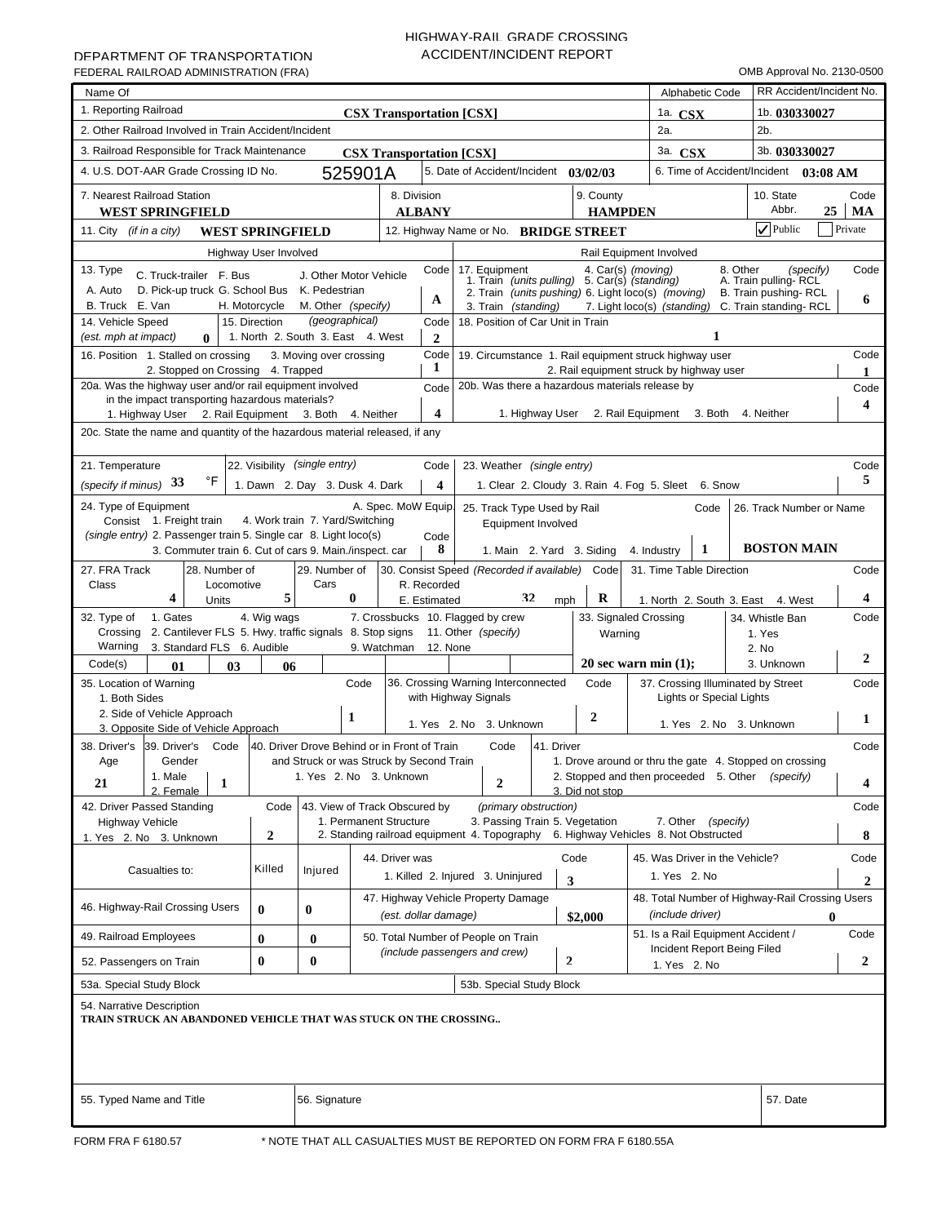# HIGHWAY-RAIL GRADE CROSSING ACCIDENT/INCIDENT REPORT

| Name Of                                                                                                                                                                                                            |                         |                                 |                                              |                              |                                                                                                   |            |                             |                                                         | Alphabetic Code             |                                       | RR Accident/Incident No. |
|--------------------------------------------------------------------------------------------------------------------------------------------------------------------------------------------------------------------|-------------------------|---------------------------------|----------------------------------------------|------------------------------|---------------------------------------------------------------------------------------------------|------------|-----------------------------|---------------------------------------------------------|-----------------------------|---------------------------------------|--------------------------|
| 1. Reporting Railroad                                                                                                                                                                                              |                         |                                 | <b>CSX Transportation [CSX]</b>              |                              |                                                                                                   |            |                             | 1a. $CSX$                                               |                             | 1b. 030330027                         |                          |
| 2. Other Railroad Involved in Train Accident/Incident                                                                                                                                                              |                         |                                 |                                              |                              |                                                                                                   |            |                             | 2a.                                                     |                             | $2b$ .                                |                          |
| 3. Railroad Responsible for Track Maintenance                                                                                                                                                                      |                         |                                 | <b>CSX Transportation [CSX]</b>              |                              |                                                                                                   |            |                             | 3a. CSX                                                 |                             | 3b. 030330027                         |                          |
| 4. U.S. DOT-AAR Grade Crossing ID No.                                                                                                                                                                              |                         |                                 | 525901A                                      |                              | 5. Date of Accident/Incident 03/02/03                                                             |            |                             |                                                         |                             | 6. Time of Accident/Incident 03:08 AM |                          |
| 7. Nearest Railroad Station<br><b>WEST SPRINGFIELD</b>                                                                                                                                                             |                         |                                 |                                              | 8. Division<br><b>ALBANY</b> |                                                                                                   |            | 9. County<br><b>HAMPDEN</b> |                                                         |                             | 10. State<br>Abbr.                    | Code<br>25<br>MA         |
| 11. City <i>(if in a city)</i>                                                                                                                                                                                     | <b>WEST SPRINGFIELD</b> |                                 |                                              |                              | 12. Highway Name or No. BRIDGE STREET                                                             |            |                             |                                                         |                             | $\nabla$ Public                       | Private                  |
|                                                                                                                                                                                                                    | Highway User Involved   |                                 |                                              |                              |                                                                                                   |            |                             | Rail Equipment Involved                                 |                             |                                       |                          |
| 13. Type<br>C. Truck-trailer F. Bus                                                                                                                                                                                |                         |                                 | J. Other Motor Vehicle                       | Code                         | 17. Equipment<br>7. Equipment 4. Car(s) (moving)<br>1. Train (units pulling) 5. Car(s) (standing) |            |                             |                                                         | 8. Other                    | (specify)<br>A. Train pulling-RCL     | Code                     |
| A. Auto<br>D. Pick-up truck G. School Bus K. Pedestrian<br>B. Truck E. Van                                                                                                                                         | H. Motorcycle           | M. Other (specify)              |                                              | A                            |                                                                                                   |            |                             | 2. Train (units pushing) 6. Light loco(s) (moving)      |                             | B. Train pushing-RCL                  | 6                        |
| 14. Vehicle Speed                                                                                                                                                                                                  | 15. Direction           | (geographical)                  |                                              | Code                         | 3. Train (standing)<br>18. Position of Car Unit in Train                                          |            |                             | 7. Light loco(s) (standing) C. Train standing-RCL       |                             |                                       |                          |
| 1. North 2. South 3. East 4. West<br>1<br>(est. mph at impact)<br>$\bf{0}$<br>$\mathbf{2}$<br>Code<br>19. Circumstance 1. Rail equipment struck highway user<br>3. Moving over crossing                            |                         |                                 |                                              |                              |                                                                                                   |            |                             |                                                         |                             |                                       |                          |
| 16. Position 1. Stalled on crossing                                                                                                                                                                                |                         |                                 |                                              | 1                            |                                                                                                   |            |                             |                                                         |                             |                                       | Code<br>1                |
| 2. Stopped on Crossing 4. Trapped<br>2. Rail equipment struck by highway user<br>20a. Was the highway user and/or rail equipment involved<br>20b. Was there a hazardous materials release by<br>Code               |                         |                                 |                                              |                              |                                                                                                   |            |                             |                                                         |                             |                                       | Code                     |
| in the impact transporting hazardous materials?                                                                                                                                                                    |                         |                                 |                                              |                              |                                                                                                   |            |                             |                                                         |                             |                                       | 4                        |
| 1. Highway User 2. Rail Equipment 3. Both                                                                                                                                                                          |                         |                                 | 4. Neither                                   | $\overline{\mathbf{4}}$      |                                                                                                   |            |                             | 1. Highway User 2. Rail Equipment 3. Both 4. Neither    |                             |                                       |                          |
| 20c. State the name and quantity of the hazardous material released, if any                                                                                                                                        |                         |                                 |                                              |                              |                                                                                                   |            |                             |                                                         |                             |                                       |                          |
| Code                                                                                                                                                                                                               |                         |                                 |                                              |                              |                                                                                                   |            |                             |                                                         |                             |                                       |                          |
| 22. Visibility (single entry)<br>21. Temperature<br>Code<br>23. Weather (single entry)<br>°F<br>(specify if minus) 33<br>1. Dawn 2. Day 3. Dusk 4. Dark<br>4<br>1. Clear 2. Cloudy 3. Rain 4. Fog 5. Sleet 6. Snow |                         |                                 |                                              |                              |                                                                                                   |            |                             |                                                         |                             |                                       | 5                        |
| 24. Type of Equipment<br>A. Spec. MoW Equip.<br>25. Track Type Used by Rail<br>Code<br>26. Track Number or Name                                                                                                    |                         |                                 |                                              |                              |                                                                                                   |            |                             |                                                         |                             |                                       |                          |
| Consist 1. Freight train                                                                                                                                                                                           |                         | 4. Work train 7. Yard/Switching |                                              |                              | Equipment Involved                                                                                |            |                             |                                                         |                             |                                       |                          |
| (single entry) 2. Passenger train 5. Single car 8. Light loco(s)                                                                                                                                                   |                         |                                 |                                              | Code                         |                                                                                                   |            |                             |                                                         |                             |                                       |                          |
| 3. Commuter train 6. Cut of cars 9. Main./inspect. car                                                                                                                                                             |                         |                                 |                                              | 8                            |                                                                                                   |            | 1. Main 2. Yard 3. Siding   | 4. Industry                                             | 1                           | <b>BOSTON MAIN</b>                    |                          |
| 27. FRA Track<br>28. Number of                                                                                                                                                                                     |                         | 29. Number of<br>Cars           |                                              |                              | 30. Consist Speed (Recorded if available) Code                                                    |            |                             | 31. Time Table Direction                                |                             |                                       | Code                     |
| Class<br>Locomotive<br>4<br>Units                                                                                                                                                                                  | 5                       |                                 | $\bf{0}$                                     | R. Recorded<br>E. Estimated  |                                                                                                   | 32<br>mph  | R                           |                                                         |                             | 1. North 2. South 3. East 4. West     | 4                        |
| 1. Gates<br>32. Type of                                                                                                                                                                                            | 4. Wig wags             |                                 |                                              |                              | 7. Crossbucks 10. Flagged by crew                                                                 |            |                             | 33. Signaled Crossing                                   |                             | 34. Whistle Ban                       | Code                     |
| 2. Cantilever FLS 5. Hwy. traffic signals 8. Stop signs 11. Other (specify)<br>Crossing                                                                                                                            |                         |                                 |                                              |                              |                                                                                                   |            | Warning                     |                                                         |                             | 1. Yes                                |                          |
| Warning<br>3. Standard FLS 6. Audible                                                                                                                                                                              |                         |                                 | 9. Watchman                                  | 12. None                     |                                                                                                   |            |                             |                                                         |                             | 2. No                                 | 2                        |
| Code(s)<br>01<br>03                                                                                                                                                                                                | 06                      |                                 |                                              |                              |                                                                                                   |            |                             | 20 sec warn min $(1)$ ;                                 |                             | 3. Unknown                            |                          |
| 35. Location of Warning<br>1. Both Sides                                                                                                                                                                           |                         |                                 | Code                                         |                              | 36. Crossing Warning Interconnected<br>with Highway Signals                                       |            | Code                        | 37. Crossing Illuminated by Street                      | Lights or Special Lights    |                                       | Code                     |
| 2. Side of Vehicle Approach                                                                                                                                                                                        |                         |                                 | 1                                            |                              |                                                                                                   |            | $\boldsymbol{2}$            |                                                         |                             |                                       |                          |
| 3. Opposite Side of Vehicle Approach                                                                                                                                                                               |                         |                                 |                                              |                              | 1. Yes 2. No 3. Unknown                                                                           |            |                             |                                                         | 1. Yes 2. No 3. Unknown     |                                       | 1                        |
| 38. Driver's<br>39. Driver's<br>Code                                                                                                                                                                               |                         |                                 | 40. Driver Drove Behind or in Front of Train |                              | Code                                                                                              | 41. Driver |                             |                                                         |                             |                                       | Code                     |
| Gender<br>Age                                                                                                                                                                                                      |                         |                                 | and Struck or was Struck by Second Train     |                              |                                                                                                   |            |                             | 1. Drove around or thru the gate 4. Stopped on crossing |                             |                                       |                          |
| 1. Male<br>21<br>$\mathbf{1}$<br>2. Female                                                                                                                                                                         |                         |                                 | 1. Yes 2. No 3. Unknown                      |                              | $\boldsymbol{2}$                                                                                  |            | 3. Did not stop             | 2. Stopped and then proceeded 5. Other                  |                             | (specify)                             | 4                        |
| 42. Driver Passed Standing                                                                                                                                                                                         | Code                    |                                 | 43. View of Track Obscured by                |                              | (primary obstruction)                                                                             |            |                             |                                                         |                             |                                       | Code                     |
| <b>Highway Vehicle</b>                                                                                                                                                                                             |                         |                                 | 1. Permanent Structure                       |                              | 3. Passing Train 5. Vegetation                                                                    |            |                             |                                                         | 7. Other (specify)          |                                       |                          |
| 1. Yes 2. No 3. Unknown                                                                                                                                                                                            | 2                       |                                 |                                              |                              | 2. Standing railroad equipment 4. Topography 6. Highway Vehicles 8. Not Obstructed                |            |                             |                                                         |                             |                                       | 8                        |
| Casualties to:                                                                                                                                                                                                     | Killed                  | Injured                         | 44. Driver was                               |                              |                                                                                                   |            | Code                        | 45. Was Driver in the Vehicle?                          |                             |                                       | Code                     |
|                                                                                                                                                                                                                    |                         |                                 |                                              |                              | 1. Killed 2. Injured 3. Uninjured                                                                 |            | 3                           | 1. Yes 2. No                                            |                             |                                       | $\mathbf{2}$             |
| 46. Highway-Rail Crossing Users                                                                                                                                                                                    |                         |                                 |                                              |                              | 47. Highway Vehicle Property Damage                                                               |            |                             | 48. Total Number of Highway-Rail Crossing Users         |                             |                                       |                          |
|                                                                                                                                                                                                                    | $\bf{0}$                | $\bf{0}$                        |                                              | (est. dollar damage)         |                                                                                                   |            | \$2,000                     | (include driver)                                        |                             |                                       | $\mathbf{0}$             |
| 49. Railroad Employees<br>50. Total Number of People on Train<br>$\bf{0}$<br>$\bf{0}$                                                                                                                              |                         |                                 |                                              |                              |                                                                                                   |            |                             | 51. Is a Rail Equipment Accident /                      | Incident Report Being Filed |                                       | Code                     |
| 52. Passengers on Train                                                                                                                                                                                            | $\bf{0}$                | $\bf{0}$                        |                                              |                              | (include passengers and crew)                                                                     |            | $\mathbf{2}$                | 1. Yes 2. No                                            |                             |                                       | 2                        |
| 53a. Special Study Block                                                                                                                                                                                           |                         |                                 |                                              |                              | 53b. Special Study Block                                                                          |            |                             |                                                         |                             |                                       |                          |
| 54. Narrative Description<br>TRAIN STRUCK AN ABANDONED VEHICLE THAT WAS STUCK ON THE CROSSING                                                                                                                      |                         |                                 |                                              |                              |                                                                                                   |            |                             |                                                         |                             |                                       |                          |
| 55. Typed Name and Title                                                                                                                                                                                           |                         | 56. Signature                   |                                              |                              |                                                                                                   |            |                             |                                                         |                             | 57. Date                              |                          |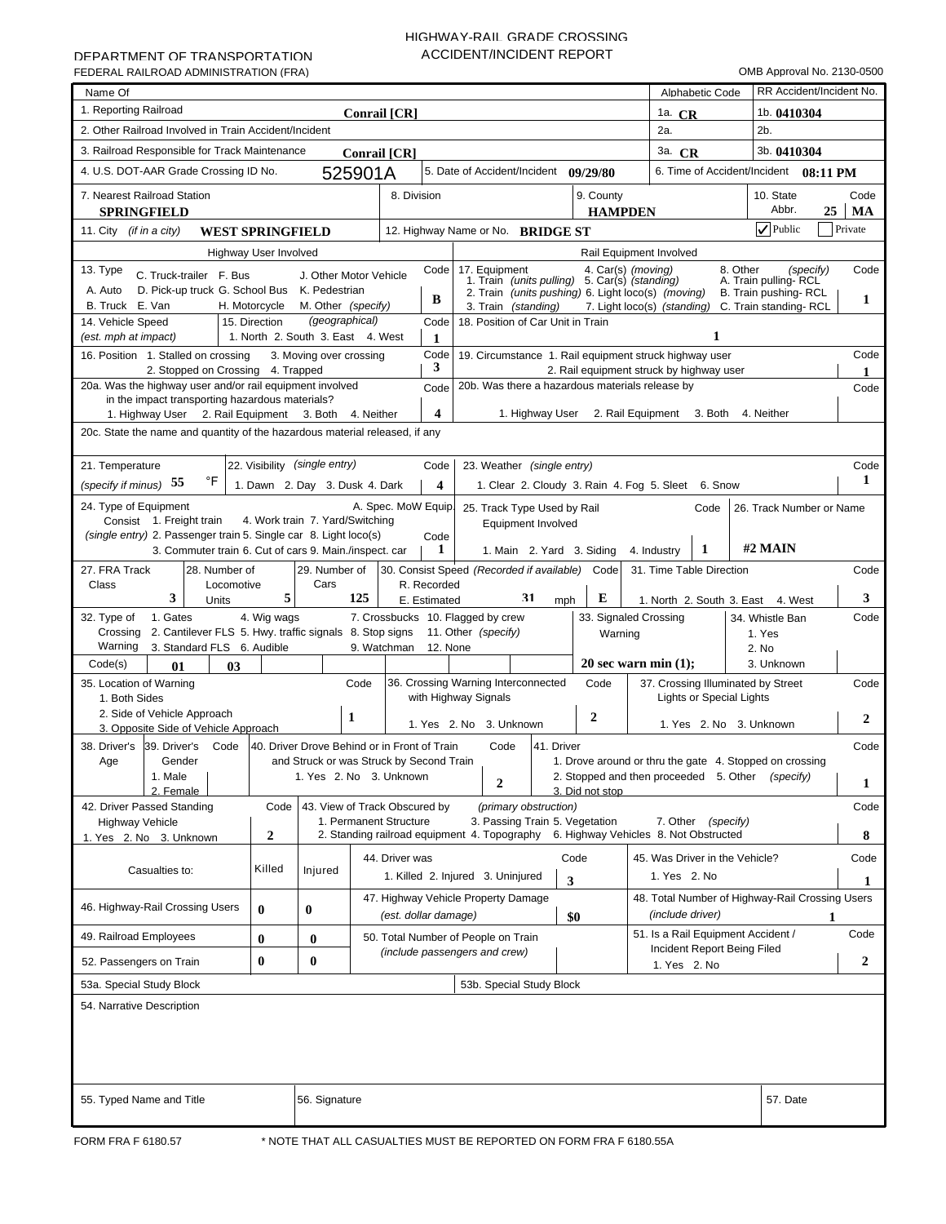# HIGHWAY-RAIL GRADE CROSSING ACCIDENT/INCIDENT REPORT

| Name Of<br>1. Reporting Railroad                                                                                                            |                              |                                 |                                              |                         |                                                                                                   |                       |                             |                                          | Alphabetic Code                 |                                                         | RR Accident/Incident No. |
|---------------------------------------------------------------------------------------------------------------------------------------------|------------------------------|---------------------------------|----------------------------------------------|-------------------------|---------------------------------------------------------------------------------------------------|-----------------------|-----------------------------|------------------------------------------|---------------------------------|---------------------------------------------------------|--------------------------|
|                                                                                                                                             |                              |                                 | Conrail [CR]                                 |                         |                                                                                                   |                       |                             | 1a. $CR$                                 |                                 | 1b. $0410304$<br>2 <sub>b</sub>                         |                          |
| 2. Other Railroad Involved in Train Accident/Incident                                                                                       |                              |                                 |                                              |                         |                                                                                                   |                       |                             | 2a.                                      |                                 |                                                         |                          |
| 3. Railroad Responsible for Track Maintenance                                                                                               |                              |                                 | Conrail [CR]                                 |                         |                                                                                                   |                       |                             | 3a. CR                                   |                                 | 3b. 0410304                                             |                          |
| 4. U.S. DOT-AAR Grade Crossing ID No.                                                                                                       |                              |                                 | 525901A                                      |                         | 5. Date of Accident/Incident 09/29/80                                                             |                       |                             | 6. Time of Accident/Incident<br>08:11 PM |                                 |                                                         |                          |
| 7. Nearest Railroad Station<br><b>SPRINGFIELD</b>                                                                                           |                              |                                 | 8. Division                                  |                         |                                                                                                   |                       | 9. County<br><b>HAMPDEN</b> |                                          |                                 | 10. State<br>Abbr.                                      | Code<br>25<br>MA         |
| 11. City <i>(if in a city)</i><br><b>WEST SPRINGFIELD</b>                                                                                   |                              |                                 |                                              |                         | 12. Highway Name or No. BRIDGE ST                                                                 |                       |                             |                                          |                                 | $\sqrt{}$ Public                                        | Private                  |
|                                                                                                                                             | <b>Highway User Involved</b> |                                 |                                              |                         |                                                                                                   |                       |                             | Rail Equipment Involved                  |                                 |                                                         |                          |
| 13. Type<br>C. Truck-trailer F. Bus                                                                                                         |                              | J. Other Motor Vehicle          |                                              | Code                    | 17. Equipment<br>7. Equipment 4. Car(s) (moving)<br>1. Train (units pulling) 5. Car(s) (standing) | 8. Other<br>(specify) | Code                        |                                          |                                 |                                                         |                          |
| D. Pick-up truck G. School Bus K. Pedestrian<br>A. Auto                                                                                     |                              |                                 |                                              |                         | 2. Train (units pushing) 6. Light loco(s) (moving)                                                |                       |                             |                                          |                                 | A. Train pulling-RCL<br>B. Train pushing-RCL            |                          |
| B. Truck E. Van                                                                                                                             | H. Motorcycle                | M. Other (specify)              |                                              | B                       | 3. Train (standing)                                                                               |                       |                             | 7. Light loco(s) (standing)              |                                 | C. Train standing-RCL                                   | 1                        |
| (geographical)<br>14. Vehicle Speed<br>15. Direction<br>18. Position of Car Unit in Train<br>Code<br>1<br>1. North 2. South 3. East 4. West |                              |                                 |                                              |                         |                                                                                                   |                       |                             |                                          |                                 |                                                         |                          |
| (est. mph at impact)<br>16. Position 1. Stalled on crossing                                                                                 |                              | 3. Moving over crossing         |                                              | 1<br>Code               | 19. Circumstance 1. Rail equipment struck highway user                                            |                       |                             |                                          |                                 |                                                         | Code                     |
| 2. Stopped on Crossing 4. Trapped                                                                                                           |                              |                                 |                                              | 3                       |                                                                                                   |                       |                             | 2. Rail equipment struck by highway user |                                 |                                                         |                          |
| 20a. Was the highway user and/or rail equipment involved                                                                                    |                              |                                 |                                              | Code                    | 20b. Was there a hazardous materials release by                                                   |                       |                             |                                          |                                 |                                                         | Code                     |
| in the impact transporting hazardous materials?<br>1. Highway User 2. Rail Equipment 3. Both                                                |                              |                                 | 4. Neither                                   | $\overline{\mathbf{4}}$ | 1. Highway User                                                                                   |                       |                             | 2. Rail Equipment 3. Both                |                                 | 4. Neither                                              |                          |
| 20c. State the name and quantity of the hazardous material released, if any                                                                 |                              |                                 |                                              |                         |                                                                                                   |                       |                             |                                          |                                 |                                                         |                          |
|                                                                                                                                             |                              |                                 |                                              |                         |                                                                                                   |                       |                             |                                          |                                 |                                                         |                          |
| 22. Visibility (single entry)<br>21. Temperature<br>Code<br>23. Weather (single entry)<br>Code                                              |                              |                                 |                                              |                         |                                                                                                   |                       |                             |                                          |                                 |                                                         |                          |
| $\mathsf{P}$<br>(specify if minus) 55                                                                                                       |                              | 1. Dawn 2. Day 3. Dusk 4. Dark  |                                              | 4                       | 1. Clear 2. Cloudy 3. Rain 4. Fog 5. Sleet 6. Snow                                                |                       |                             |                                          |                                 |                                                         | 1                        |
| 24. Type of Equipment                                                                                                                       |                              |                                 | A. Spec. MoW Equip.                          |                         | 25. Track Type Used by Rail                                                                       |                       |                             |                                          | Code                            | 26. Track Number or Name                                |                          |
| Consist 1. Freight train<br>(single entry) 2. Passenger train 5. Single car 8. Light loco(s)                                                |                              | 4. Work train 7. Yard/Switching |                                              | Code                    | Equipment Involved                                                                                |                       |                             |                                          |                                 |                                                         |                          |
| 3. Commuter train 6. Cut of cars 9. Main./inspect. car                                                                                      |                              |                                 |                                              | 1                       | 1. Main 2. Yard 3. Siding                                                                         |                       |                             | 4. Industry                              |                                 |                                                         |                          |
| 27. FRA Track<br>28. Number of                                                                                                              |                              | 29. Number of                   |                                              |                         | 30. Consist Speed (Recorded if available)                                                         |                       | Code                        | 31. Time Table Direction                 |                                 |                                                         | Code                     |
| Class<br>Locomotive                                                                                                                         |                              | Cars                            |                                              | R. Recorded             |                                                                                                   |                       |                             |                                          |                                 |                                                         |                          |
| 3<br>Units                                                                                                                                  | 5                            |                                 | 125                                          | E. Estimated            | 31                                                                                                | mph                   | Е                           |                                          |                                 | 1. North 2. South 3. East 4. West                       | 3                        |
| 1. Gates<br>32. Type of<br>2. Cantilever FLS 5. Hwy. traffic signals 8. Stop signs<br>Crossing                                              | 4. Wig wags                  |                                 |                                              |                         | 7. Crossbucks 10. Flagged by crew<br>11. Other (specify)                                          |                       | Warning                     | 33. Signaled Crossing                    |                                 | 34. Whistle Ban<br>1. Yes                               | Code                     |
| Warning<br>3. Standard FLS 6. Audible                                                                                                       |                              |                                 | 9. Watchman                                  | 12. None                |                                                                                                   |                       |                             |                                          |                                 | 2. No                                                   |                          |
| Code(s)<br>01<br>03                                                                                                                         |                              |                                 |                                              |                         |                                                                                                   |                       |                             | 20 sec warn min $(1)$ ;                  |                                 | 3. Unknown                                              |                          |
| 35. Location of Warning                                                                                                                     |                              |                                 | Code                                         |                         | 36. Crossing Warning Interconnected                                                               |                       | Code                        |                                          |                                 | 37. Crossing Illuminated by Street                      | Code                     |
| 1. Both Sides<br>2. Side of Vehicle Approach                                                                                                |                              |                                 |                                              |                         | with Highway Signals                                                                              |                       |                             |                                          | <b>Lights or Special Lights</b> |                                                         |                          |
| 3. Opposite Side of Vehicle Approach                                                                                                        |                              | 1                               |                                              |                         | 1. Yes 2. No 3. Unknown                                                                           |                       | $\boldsymbol{2}$            |                                          |                                 | 1. Yes 2. No 3. Unknown                                 | 2                        |
| 38. Driver's<br>39. Driver's<br>Code                                                                                                        |                              |                                 | 40. Driver Drove Behind or in Front of Train |                         | Code<br>41. Driver                                                                                |                       |                             |                                          |                                 |                                                         | Code                     |
| Gender<br>Age                                                                                                                               |                              |                                 | and Struck or was Struck by Second Train     |                         |                                                                                                   |                       |                             |                                          |                                 | 1. Drove around or thru the gate 4. Stopped on crossing |                          |
| 1. Male<br>2. Female                                                                                                                        |                              |                                 | 1. Yes 2. No 3. Unknown                      |                         | $\boldsymbol{2}$                                                                                  |                       | 3. Did not stop             | 2. Stopped and then proceeded 5. Other   |                                 | (specify)                                               | 1                        |
| 42. Driver Passed Standing                                                                                                                  | Code                         |                                 | 43. View of Track Obscured by                |                         | (primary obstruction)                                                                             |                       |                             |                                          |                                 |                                                         | Code                     |
| <b>Highway Vehicle</b>                                                                                                                      |                              |                                 | 1. Permanent Structure                       |                         | 3. Passing Train 5. Vegetation                                                                    |                       |                             | 7. Other                                 | (specify)                       |                                                         |                          |
| 1. Yes 2. No 3. Unknown                                                                                                                     | $\boldsymbol{2}$             |                                 |                                              |                         | 2. Standing railroad equipment 4. Topography                                                      |                       |                             | 6. Highway Vehicles 8. Not Obstructed    |                                 |                                                         | 8                        |
| Casualties to:                                                                                                                              | Killed                       | Injured                         | 44. Driver was                               |                         |                                                                                                   | Code                  |                             | 45. Was Driver in the Vehicle?           |                                 |                                                         | Code                     |
|                                                                                                                                             |                              |                                 |                                              |                         | 1. Killed 2. Injured 3. Uninjured                                                                 | 3                     |                             | 1. Yes 2. No                             |                                 |                                                         | 1                        |
| 46. Highway-Rail Crossing Users                                                                                                             | $\bf{0}$                     | $\bf{0}$                        |                                              |                         | 47. Highway Vehicle Property Damage                                                               |                       |                             | (include driver)                         |                                 | 48. Total Number of Highway-Rail Crossing Users         |                          |
| 49. Railroad Employees                                                                                                                      | $\bf{0}$                     | $\bf{0}$                        | (est. dollar damage)                         |                         | 50. Total Number of People on Train                                                               | \$0                   |                             |                                          |                                 | 51. Is a Rail Equipment Accident /                      | 1<br>Code                |
|                                                                                                                                             |                              | $\bf{0}$                        |                                              |                         | (include passengers and crew)                                                                     |                       |                             |                                          |                                 | Incident Report Being Filed                             |                          |
| 52. Passengers on Train                                                                                                                     | $\bf{0}$                     |                                 |                                              |                         |                                                                                                   |                       |                             | 1. Yes 2. No                             |                                 |                                                         | 2                        |
| 53a. Special Study Block                                                                                                                    |                              |                                 |                                              |                         | 53b. Special Study Block                                                                          |                       |                             |                                          |                                 |                                                         |                          |
| 54. Narrative Description                                                                                                                   |                              |                                 |                                              |                         |                                                                                                   |                       |                             |                                          |                                 |                                                         |                          |
|                                                                                                                                             |                              |                                 |                                              |                         |                                                                                                   |                       |                             |                                          |                                 |                                                         |                          |
|                                                                                                                                             |                              |                                 |                                              |                         |                                                                                                   |                       |                             |                                          |                                 |                                                         |                          |
|                                                                                                                                             |                              |                                 |                                              |                         |                                                                                                   |                       |                             |                                          |                                 |                                                         |                          |
|                                                                                                                                             |                              | 56. Signature                   |                                              |                         |                                                                                                   |                       |                             |                                          |                                 | 57. Date                                                |                          |
| 55. Typed Name and Title                                                                                                                    |                              |                                 |                                              |                         |                                                                                                   |                       |                             |                                          |                                 |                                                         |                          |
| FORM FRA F 6180.57                                                                                                                          |                              |                                 |                                              |                         | * NOTE THAT ALL CASUALTIES MUST BE REPORTED ON FORM FRA F 6180.55A                                |                       |                             |                                          |                                 |                                                         |                          |